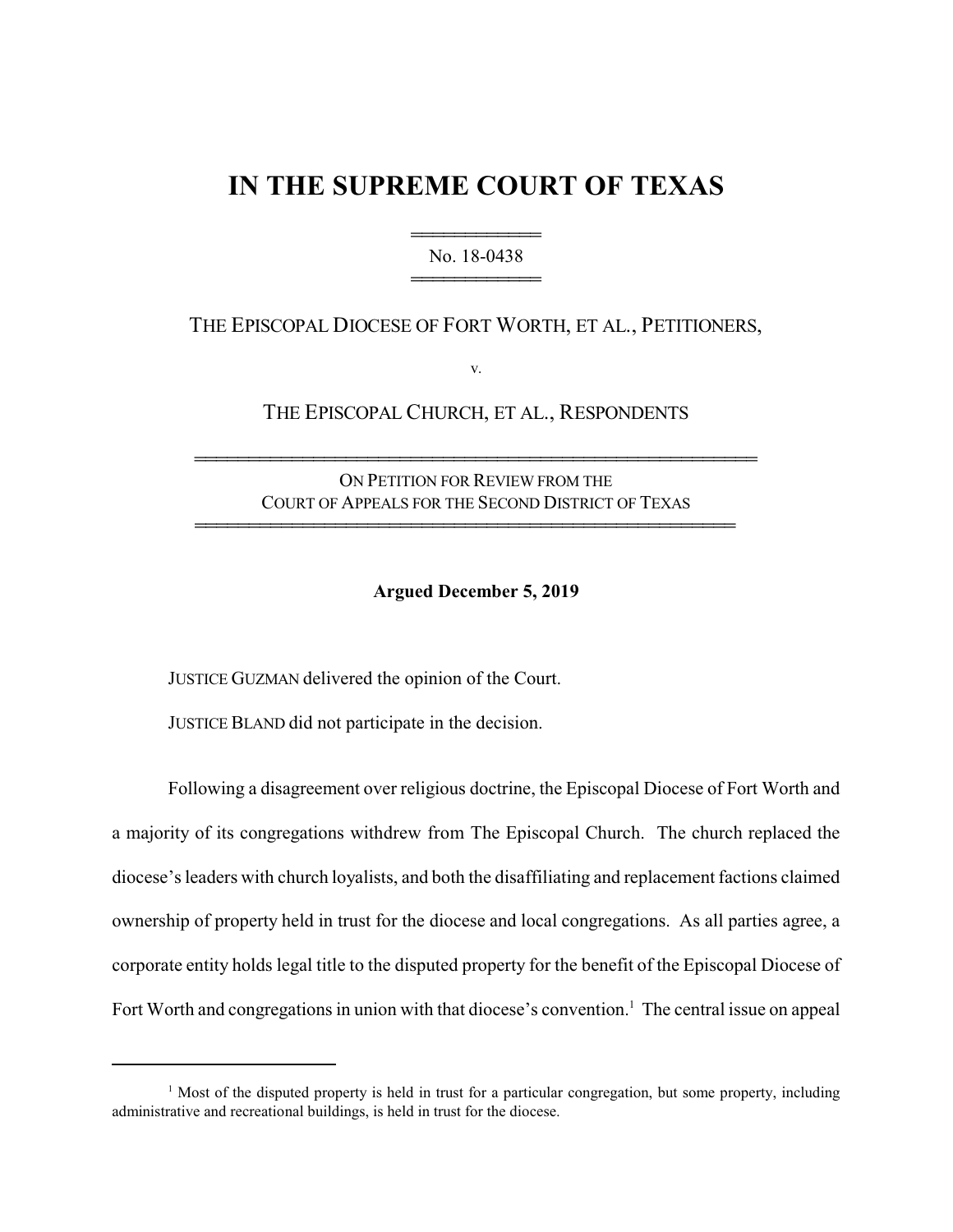# **IN THE SUPREME COURT OF TEXAS**

444444444444 No. 18-0438 444444444444

## THE EPISCOPAL DIOCESE OF FORT WORTH, ET AL., PETITIONERS,

v.

THE EPISCOPAL CHURCH, ET AL., RESPONDENTS

ON PETITION FOR REVIEW FROM THE COURT OF APPEALS FOR THE SECOND DISTRICT OF TEXAS

44444444444444444444444444444444444444444444444444

4444444444444444444444444444444444444444444444444444

**Argued December 5, 2019**

JUSTICE GUZMAN delivered the opinion of the Court.

JUSTICE BLAND did not participate in the decision.

Following a disagreement over religious doctrine, the Episcopal Diocese of Fort Worth and a majority of its congregations withdrew from The Episcopal Church. The church replaced the diocese's leaders with church loyalists, and both the disaffiliating and replacement factions claimed ownership of property held in trust for the diocese and local congregations. As all parties agree, a corporate entity holds legal title to the disputed property for the benefit of the Episcopal Diocese of Fort Worth and congregations in union with that diocese's convention.<sup>1</sup> The central issue on appeal

<sup>&</sup>lt;sup>1</sup> Most of the disputed property is held in trust for a particular congregation, but some property, including administrative and recreational buildings, is held in trust for the diocese.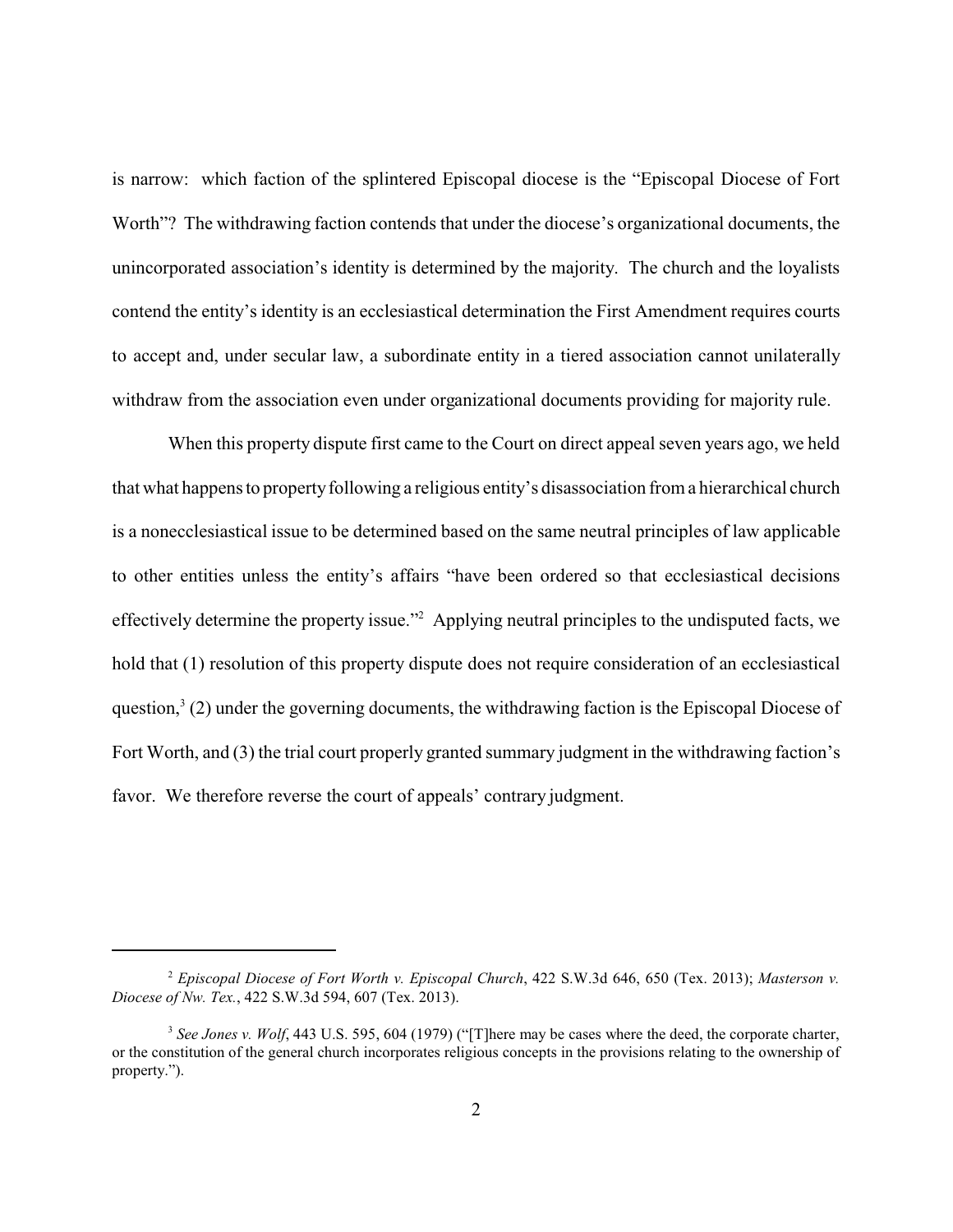is narrow: which faction of the splintered Episcopal diocese is the "Episcopal Diocese of Fort Worth"? The withdrawing faction contends that under the diocese's organizational documents, the unincorporated association's identity is determined by the majority. The church and the loyalists contend the entity's identity is an ecclesiastical determination the First Amendment requires courts to accept and, under secular law, a subordinate entity in a tiered association cannot unilaterally withdraw from the association even under organizational documents providing for majority rule.

When this property dispute first came to the Court on direct appeal seven years ago, we held that what happens to propertyfollowing a religious entity's disassociation from a hierarchical church is a nonecclesiastical issue to be determined based on the same neutral principles of law applicable to other entities unless the entity's affairs "have been ordered so that ecclesiastical decisions effectively determine the property issue."<sup>2</sup> Applying neutral principles to the undisputed facts, we hold that (1) resolution of this property dispute does not require consideration of an ecclesiastical question,<sup>3</sup> (2) under the governing documents, the withdrawing faction is the Episcopal Diocese of Fort Worth, and (3) the trial court properly granted summary judgment in the withdrawing faction's favor. We therefore reverse the court of appeals' contrary judgment.

<sup>2</sup> *Episcopal Diocese of Fort Worth v. Episcopal Church*, 422 S.W.3d 646, 650 (Tex. 2013); *Masterson v. Diocese of Nw. Tex.*, 422 S.W.3d 594, 607 (Tex. 2013).

<sup>&</sup>lt;sup>3</sup> See Jones v. Wolf, 443 U.S. 595, 604 (1979) ("[T]here may be cases where the deed, the corporate charter, or the constitution of the general church incorporates religious concepts in the provisions relating to the ownership of property.").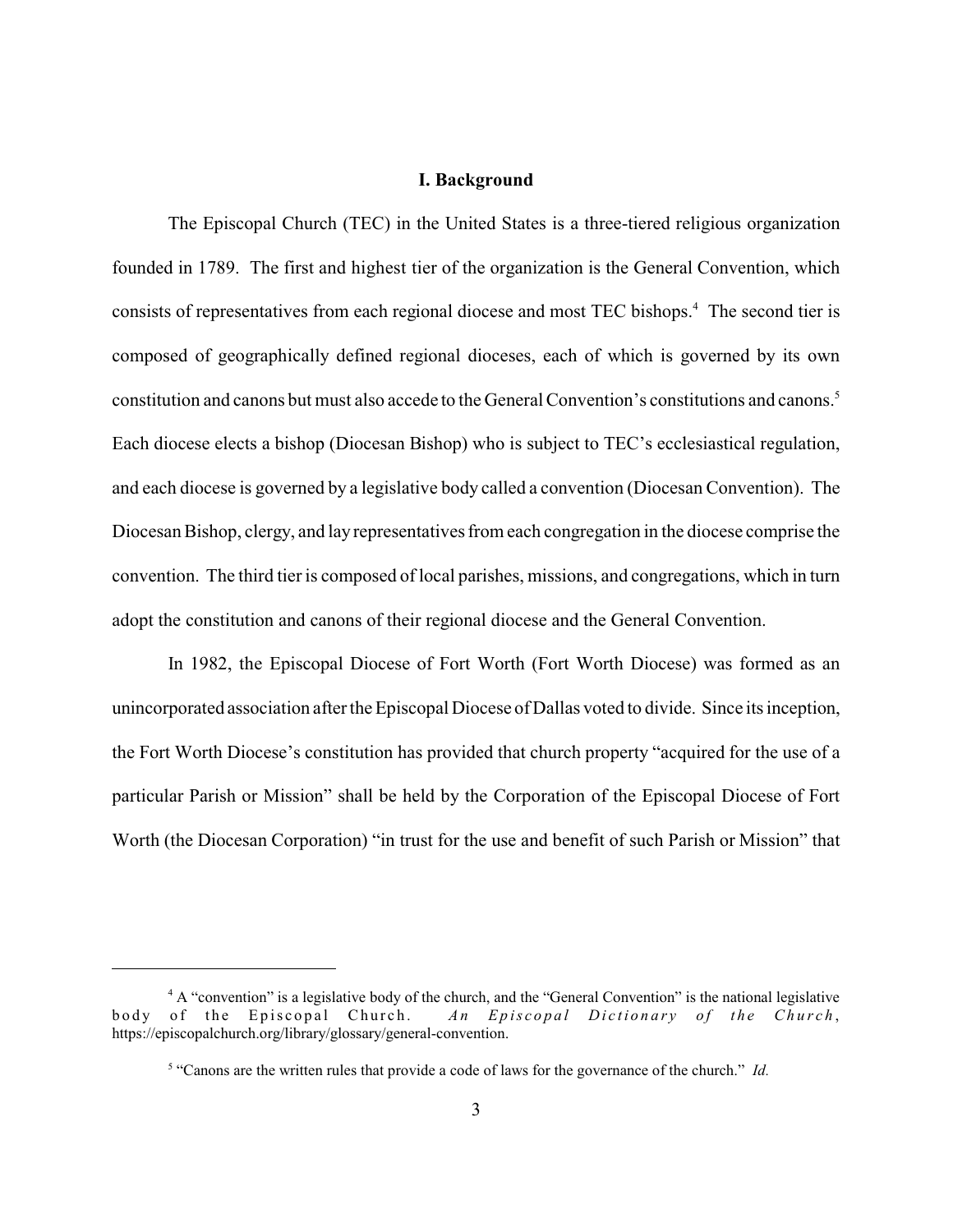#### **I. Background**

The Episcopal Church (TEC) in the United States is a three-tiered religious organization founded in 1789. The first and highest tier of the organization is the General Convention, which consists of representatives from each regional diocese and most TEC bishops.<sup>4</sup> The second tier is composed of geographically defined regional dioceses, each of which is governed by its own constitution and canons but must also accede to the General Convention's constitutions and canons.<sup>5</sup> Each diocese elects a bishop (Diocesan Bishop) who is subject to TEC's ecclesiastical regulation, and each diocese is governed by a legislative body called a convention (Diocesan Convention). The Diocesan Bishop, clergy, and layrepresentatives from each congregation in the diocese comprise the convention. The third tier is composed of local parishes, missions, and congregations, which in turn adopt the constitution and canons of their regional diocese and the General Convention.

In 1982, the Episcopal Diocese of Fort Worth (Fort Worth Diocese) was formed as an unincorporated association after the Episcopal Diocese of Dallas voted to divide. Since its inception, the Fort Worth Diocese's constitution has provided that church property "acquired for the use of a particular Parish or Mission" shall be held by the Corporation of the Episcopal Diocese of Fort Worth (the Diocesan Corporation) "in trust for the use and benefit of such Parish or Mission" that

<sup>&</sup>lt;sup>4</sup> A "convention" is a legislative body of the church, and the "General Convention" is the national legislative body of the Episcopal Church. An Episcopal Dictionary of the Church, https://episcopalchurch.org/library/glossary/general-convention.

<sup>5</sup> "Canons are the written rules that provide a code of laws for the governance of the church." *Id.*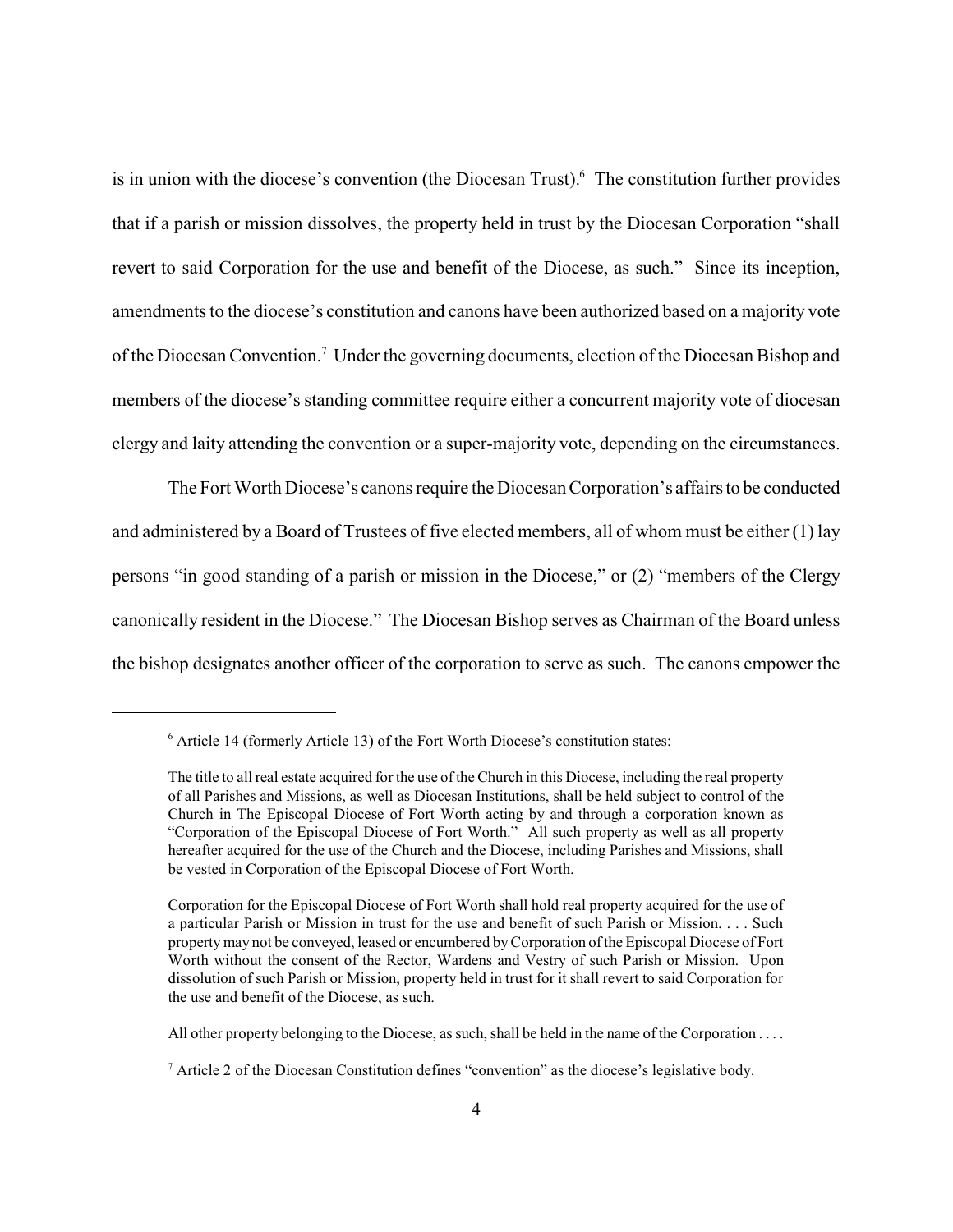is in union with the diocese's convention (the Diocesan Trust). <sup>6</sup> The constitution further provides that if a parish or mission dissolves, the property held in trust by the Diocesan Corporation "shall revert to said Corporation for the use and benefit of the Diocese, as such." Since its inception, amendments to the diocese's constitution and canons have been authorized based on a majority vote of the Diocesan Convention.<sup>7</sup> Under the governing documents, election of the Diocesan Bishop and members of the diocese's standing committee require either a concurrent majority vote of diocesan clergy and laity attending the convention or a super-majority vote, depending on the circumstances.

The Fort Worth Diocese's canons require the Diocesan Corporation's affairs to be conducted and administered by a Board of Trustees of five elected members, all of whom must be either (1) lay persons "in good standing of a parish or mission in the Diocese," or (2) "members of the Clergy canonically resident in the Diocese." The Diocesan Bishop serves as Chairman of the Board unless the bishop designates another officer of the corporation to serve as such. The canons empower the

<sup>&</sup>lt;sup>6</sup> Article 14 (formerly Article 13) of the Fort Worth Diocese's constitution states:

The title to all real estate acquired for the use ofthe Church in this Diocese, including the real property of all Parishes and Missions, as well as Diocesan Institutions, shall be held subject to control of the Church in The Episcopal Diocese of Fort Worth acting by and through a corporation known as "Corporation of the Episcopal Diocese of Fort Worth." All such property as well as all property hereafter acquired for the use of the Church and the Diocese, including Parishes and Missions, shall be vested in Corporation of the Episcopal Diocese of Fort Worth.

Corporation for the Episcopal Diocese of Fort Worth shall hold real property acquired for the use of a particular Parish or Mission in trust for the use and benefit of such Parish or Mission. . . . Such property may not be conveyed, leased or encumbered byCorporation ofthe Episcopal Diocese of Fort Worth without the consent of the Rector, Wardens and Vestry of such Parish or Mission. Upon dissolution of such Parish or Mission, property held in trust for it shall revert to said Corporation for the use and benefit of the Diocese, as such.

All other property belonging to the Diocese, as such, shall be held in the name of the Corporation . . . .

 $<sup>7</sup>$  Article 2 of the Diocesan Constitution defines "convention" as the diocese's legislative body.</sup>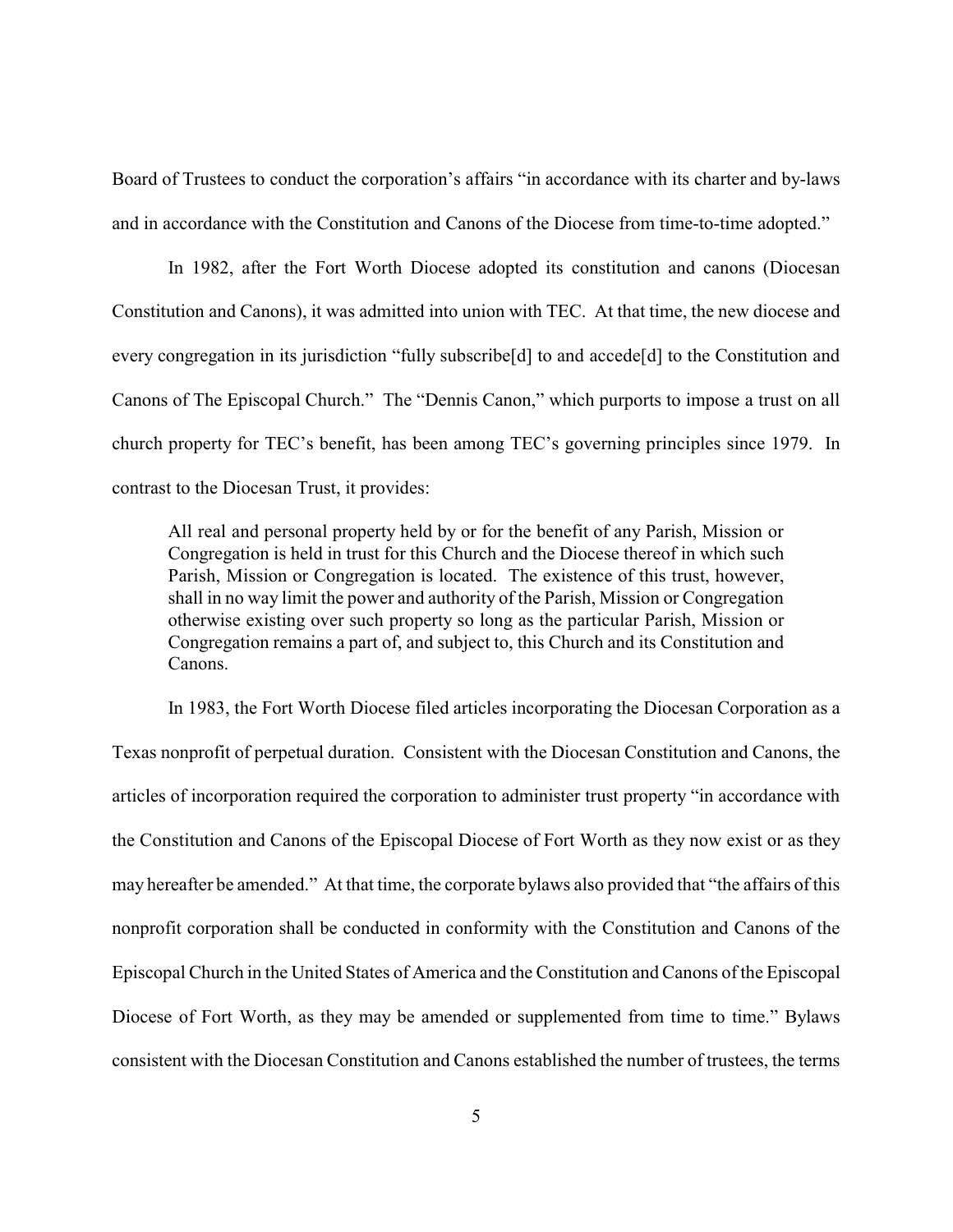Board of Trustees to conduct the corporation's affairs "in accordance with its charter and by-laws and in accordance with the Constitution and Canons of the Diocese from time-to-time adopted."

In 1982, after the Fort Worth Diocese adopted its constitution and canons (Diocesan Constitution and Canons), it was admitted into union with TEC. At that time, the new diocese and every congregation in its jurisdiction "fully subscribe[d] to and accede[d] to the Constitution and Canons of The Episcopal Church." The "Dennis Canon," which purports to impose a trust on all church property for TEC's benefit, has been among TEC's governing principles since 1979. In contrast to the Diocesan Trust, it provides:

All real and personal property held by or for the benefit of any Parish, Mission or Congregation is held in trust for this Church and the Diocese thereof in which such Parish, Mission or Congregation is located. The existence of this trust, however, shall in no way limit the power and authority of the Parish, Mission or Congregation otherwise existing over such property so long as the particular Parish, Mission or Congregation remains a part of, and subject to, this Church and its Constitution and Canons.

In 1983, the Fort Worth Diocese filed articles incorporating the Diocesan Corporation as a Texas nonprofit of perpetual duration. Consistent with the Diocesan Constitution and Canons, the articles of incorporation required the corporation to administer trust property "in accordance with the Constitution and Canons of the Episcopal Diocese of Fort Worth as they now exist or as they may hereafter be amended." At that time, the corporate bylaws also provided that "the affairs of this nonprofit corporation shall be conducted in conformity with the Constitution and Canons of the Episcopal Church in the United States of America and the Constitution and Canons of the Episcopal Diocese of Fort Worth, as they may be amended or supplemented from time to time." Bylaws consistent with the Diocesan Constitution and Canons established the number of trustees, the terms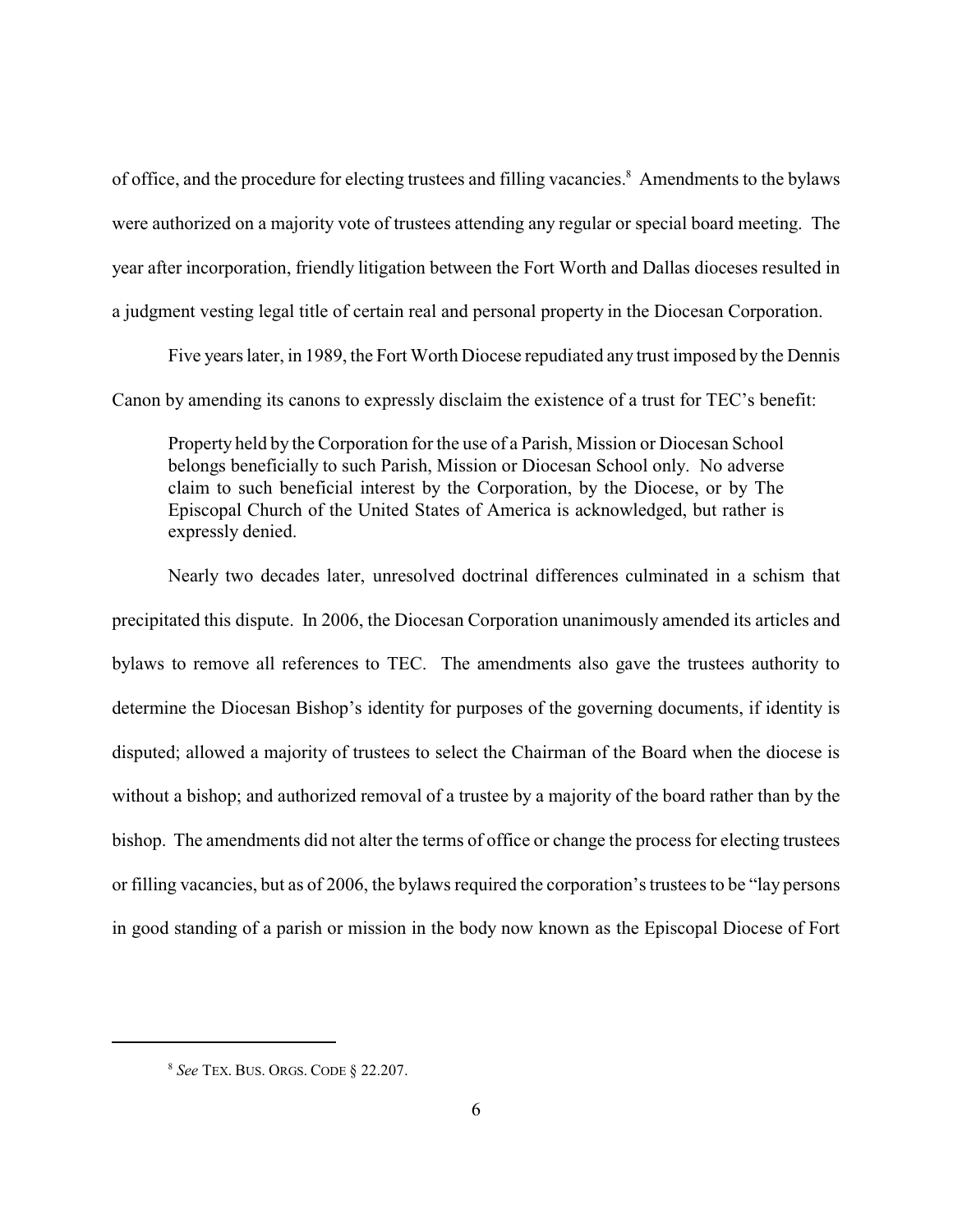of office, and the procedure for electing trustees and filling vacancies.<sup>8</sup> Amendments to the bylaws were authorized on a majority vote of trustees attending any regular or special board meeting. The year after incorporation, friendly litigation between the Fort Worth and Dallas dioceses resulted in a judgment vesting legal title of certain real and personal property in the Diocesan Corporation.

Five years later, in 1989, the Fort Worth Diocese repudiated any trust imposed by the Dennis Canon by amending its canons to expressly disclaim the existence of a trust for TEC's benefit:

Property held by the Corporation for the use of a Parish, Mission or Diocesan School belongs beneficially to such Parish, Mission or Diocesan School only. No adverse claim to such beneficial interest by the Corporation, by the Diocese, or by The Episcopal Church of the United States of America is acknowledged, but rather is expressly denied.

Nearly two decades later, unresolved doctrinal differences culminated in a schism that precipitated this dispute. In 2006, the Diocesan Corporation unanimously amended its articles and bylaws to remove all references to TEC. The amendments also gave the trustees authority to determine the Diocesan Bishop's identity for purposes of the governing documents, if identity is disputed; allowed a majority of trustees to select the Chairman of the Board when the diocese is without a bishop; and authorized removal of a trustee by a majority of the board rather than by the bishop. The amendments did not alter the terms of office or change the process for electing trustees or filling vacancies, but as of 2006, the bylaws required the corporation's trustees to be "lay persons in good standing of a parish or mission in the body now known as the Episcopal Diocese of Fort

<sup>8</sup> *See* TEX. BUS. ORGS. CODE § 22.207.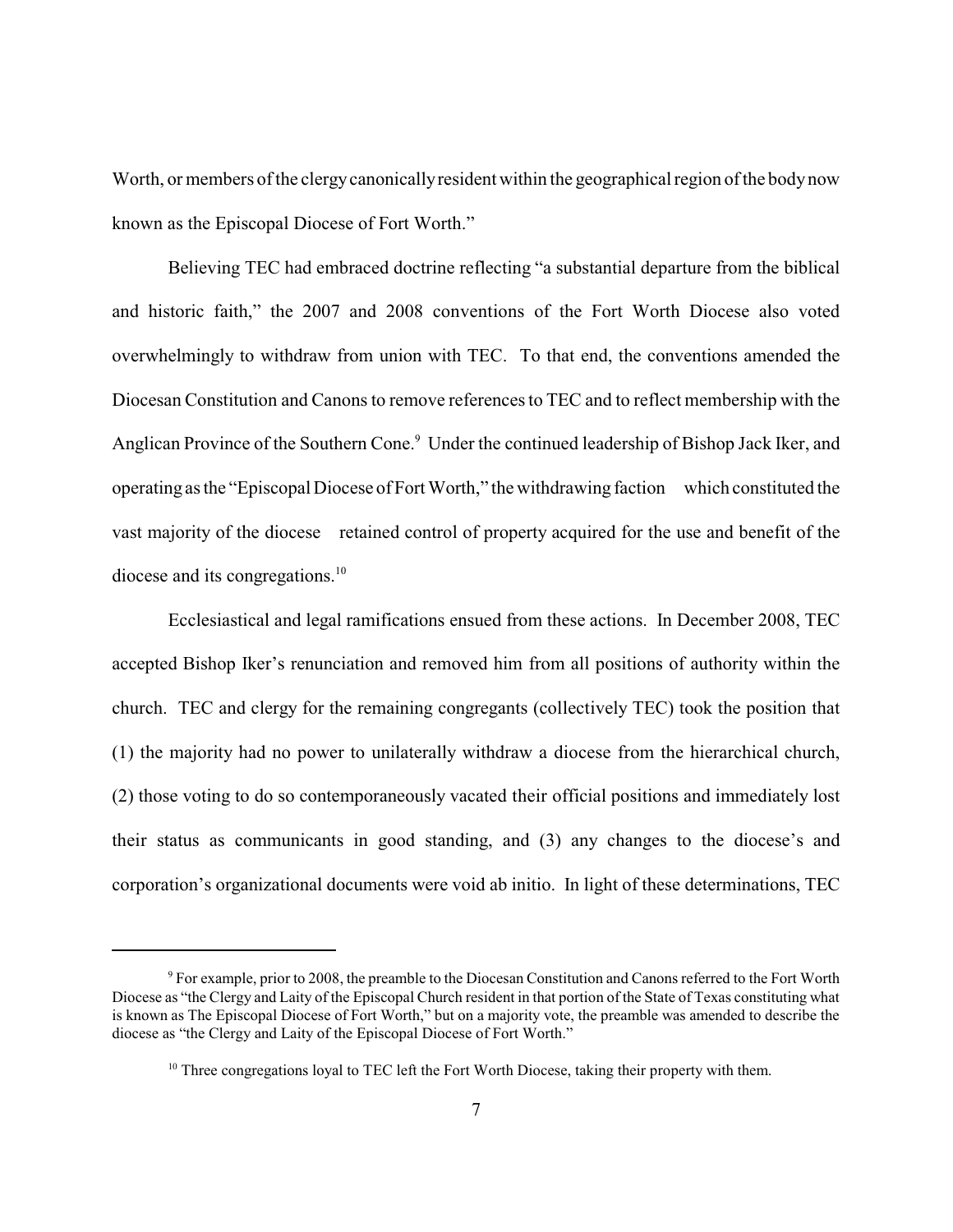Worth, or members of the clergy canonically resident within the geographical region of the body now known as the Episcopal Diocese of Fort Worth."

Believing TEC had embraced doctrine reflecting "a substantial departure from the biblical and historic faith," the 2007 and 2008 conventions of the Fort Worth Diocese also voted overwhelmingly to withdraw from union with TEC. To that end, the conventions amended the Diocesan Constitution and Canons to remove references to TEC and to reflect membership with the Anglican Province of the Southern Cone.<sup>9</sup> Under the continued leadership of Bishop Jack Iker, and operating as the "Episcopal Diocese of Fort Worth," the withdrawing faction which constituted the vast majority of the diocese retained control of property acquired for the use and benefit of the diocese and its congregations.<sup>10</sup>

Ecclesiastical and legal ramifications ensued from these actions. In December 2008, TEC accepted Bishop Iker's renunciation and removed him from all positions of authority within the church. TEC and clergy for the remaining congregants (collectively TEC) took the position that (1) the majority had no power to unilaterally withdraw a diocese from the hierarchical church, (2) those voting to do so contemporaneously vacated their official positions and immediately lost their status as communicants in good standing, and (3) any changes to the diocese's and corporation's organizational documents were void ab initio. In light of these determinations, TEC

<sup>&</sup>lt;sup>9</sup> For example, prior to 2008, the preamble to the Diocesan Constitution and Canons referred to the Fort Worth Diocese as "the Clergy and Laity of the Episcopal Church resident in that portion of the State of Texas constituting what is known as The Episcopal Diocese of Fort Worth," but on a majority vote, the preamble was amended to describe the diocese as "the Clergy and Laity of the Episcopal Diocese of Fort Worth."

<sup>&</sup>lt;sup>10</sup> Three congregations loyal to TEC left the Fort Worth Diocese, taking their property with them.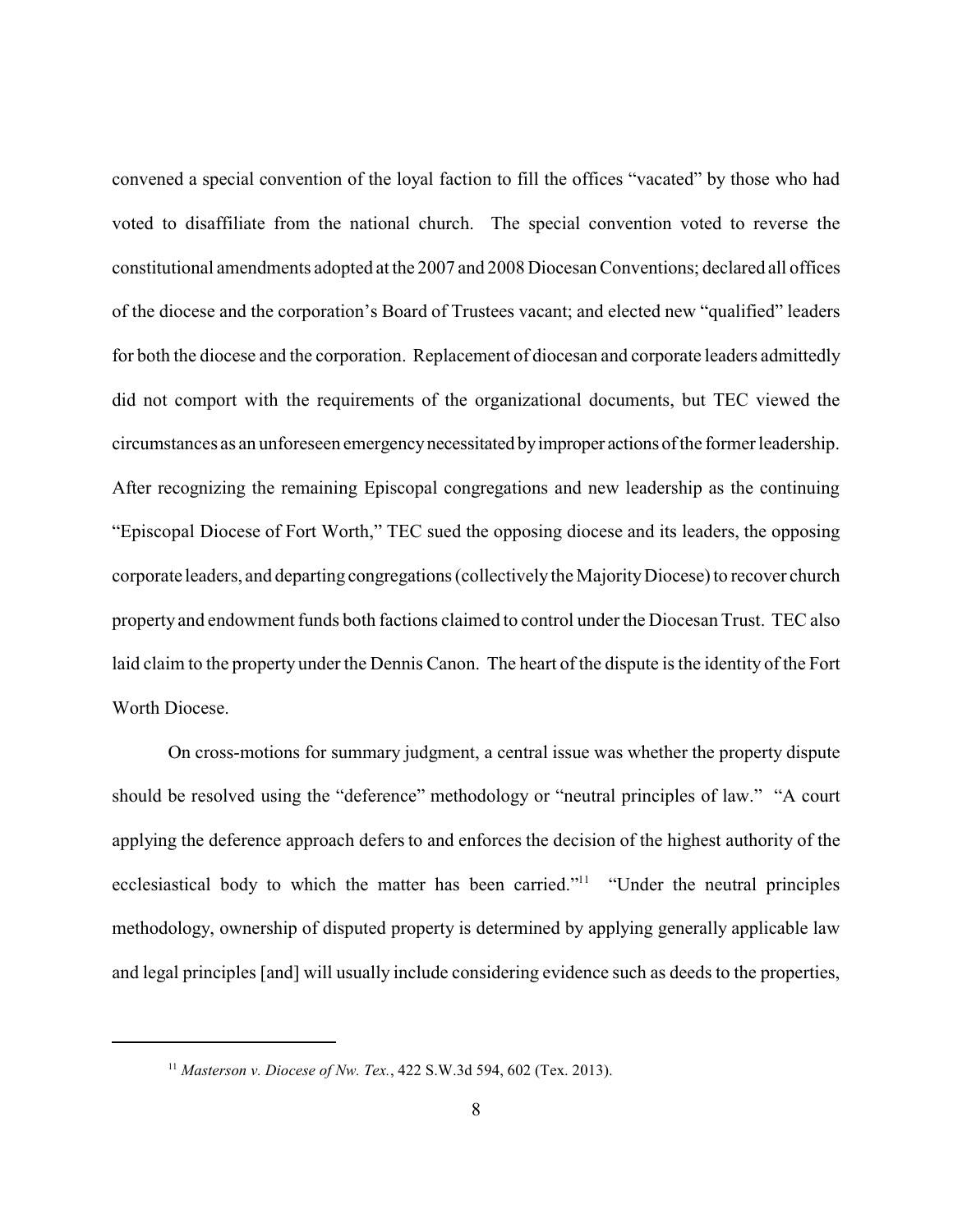convened a special convention of the loyal faction to fill the offices "vacated" by those who had voted to disaffiliate from the national church. The special convention voted to reverse the constitutional amendments adopted at the 2007 and 2008 Diocesan Conventions; declared all offices of the diocese and the corporation's Board of Trustees vacant; and elected new "qualified" leaders for both the diocese and the corporation. Replacement of diocesan and corporate leaders admittedly did not comport with the requirements of the organizational documents, but TEC viewed the circumstances as an unforeseen emergencynecessitated byimproper actions ofthe former leadership. After recognizing the remaining Episcopal congregations and new leadership as the continuing "Episcopal Diocese of Fort Worth," TEC sued the opposing diocese and its leaders, the opposing corporate leaders, and departing congregations (collectivelythe MajorityDiocese) to recover church property and endowment funds both factions claimed to control under the Diocesan Trust. TEC also laid claim to the property under the Dennis Canon. The heart of the dispute is the identity of the Fort Worth Diocese.

On cross-motions for summary judgment, a central issue was whether the property dispute should be resolved using the "deference" methodology or "neutral principles of law." "A court applying the deference approach defers to and enforces the decision of the highest authority of the ecclesiastical body to which the matter has been carried."<sup>11</sup> "Under the neutral principles methodology, ownership of disputed property is determined by applying generally applicable law and legal principles [and] will usually include considering evidence such as deeds to the properties,

<sup>11</sup> *Masterson v. Diocese of Nw. Tex.*, 422 S.W.3d 594, 602 (Tex. 2013).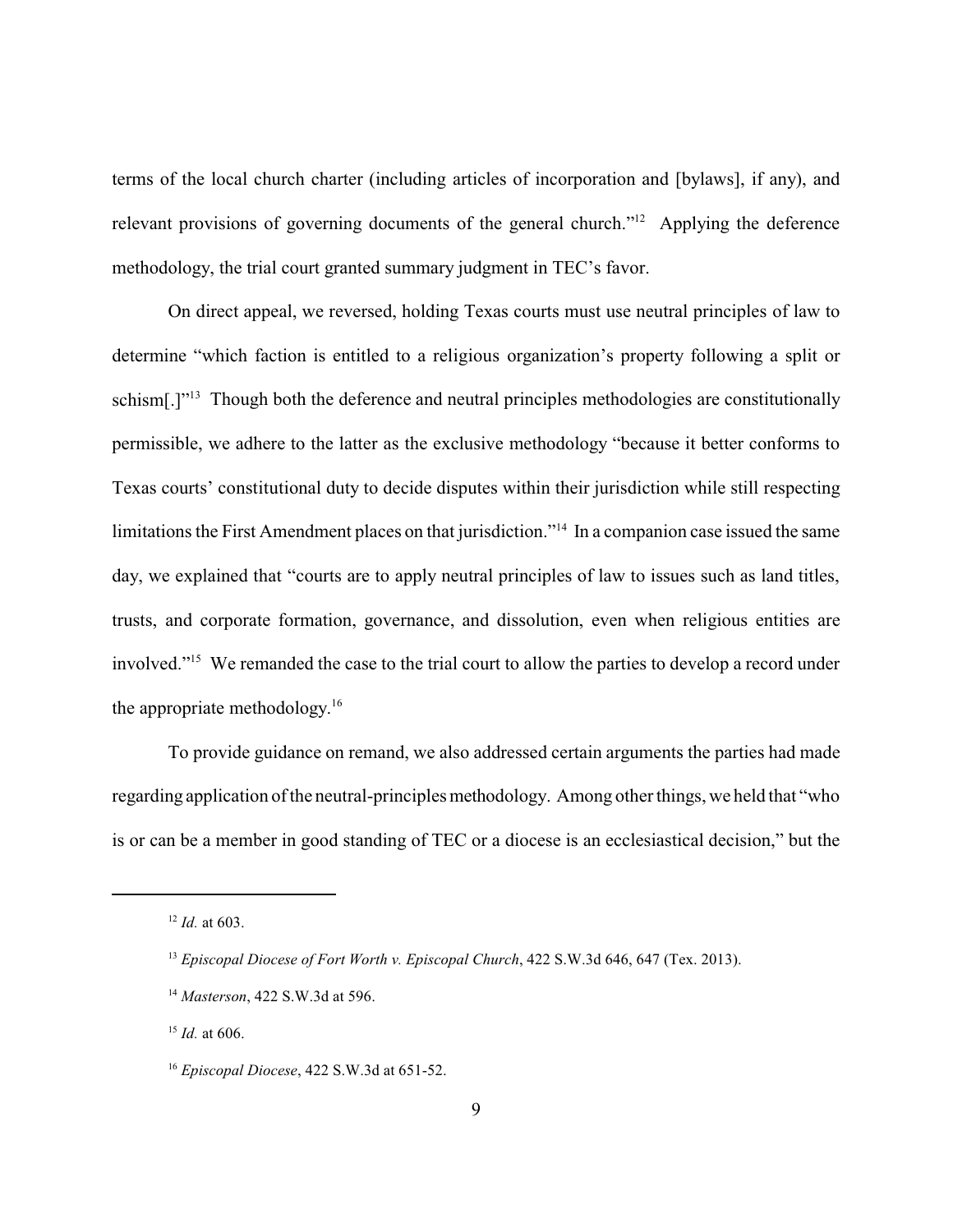terms of the local church charter (including articles of incorporation and [bylaws], if any), and relevant provisions of governing documents of the general church."<sup>12</sup> Applying the deference methodology, the trial court granted summary judgment in TEC's favor.

On direct appeal, we reversed, holding Texas courts must use neutral principles of law to determine "which faction is entitled to a religious organization's property following a split or schism[.]"<sup>13</sup> Though both the deference and neutral principles methodologies are constitutionally permissible, we adhere to the latter as the exclusive methodology "because it better conforms to Texas courts' constitutional duty to decide disputes within their jurisdiction while still respecting limitations the First Amendment places on that jurisdiction."<sup>14</sup> In a companion case issued the same day, we explained that "courts are to apply neutral principles of law to issues such as land titles, trusts, and corporate formation, governance, and dissolution, even when religious entities are involved."<sup>15</sup> We remanded the case to the trial court to allow the parties to develop a record under the appropriate methodology. 16

To provide guidance on remand, we also addressed certain arguments the parties had made regarding application of the neutral-principles methodology. Among other things, we held that "who is or can be a member in good standing of TEC or a diocese is an ecclesiastical decision," but the

<sup>15</sup> *Id.* at 606.

<sup>12</sup> *Id.* at 603.

<sup>&</sup>lt;sup>13</sup> *Episcopal Diocese of Fort Worth v. Episcopal Church*, 422 S.W.3d 646, 647 (Tex. 2013).

<sup>14</sup> *Masterson*, 422 S.W.3d at 596.

<sup>16</sup> *Episcopal Diocese*, 422 S.W.3d at 651-52.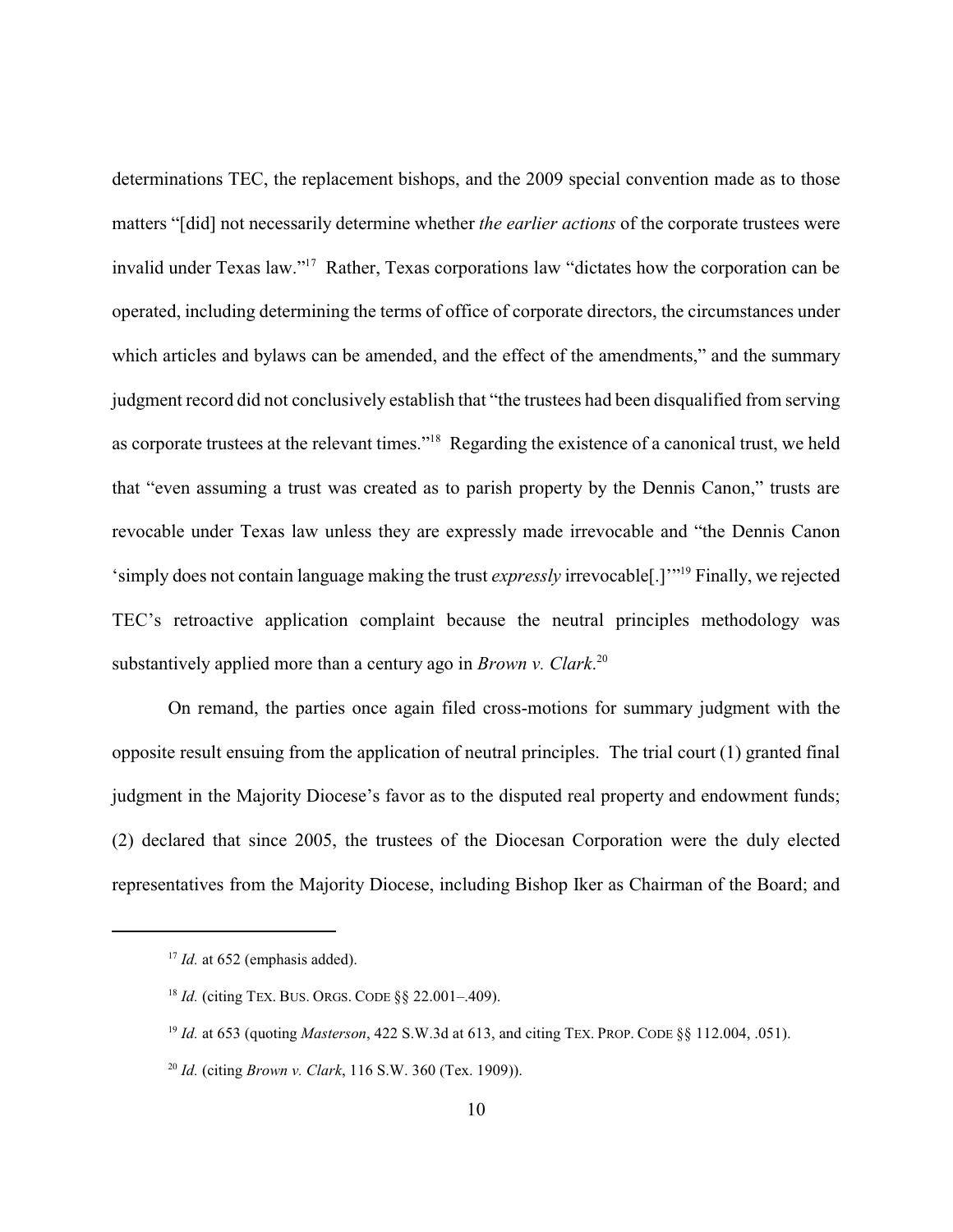determinations TEC, the replacement bishops, and the 2009 special convention made as to those matters "[did] not necessarily determine whether *the earlier actions* of the corporate trustees were invalid under Texas law."<sup>17</sup> Rather, Texas corporations law "dictates how the corporation can be operated, including determining the terms of office of corporate directors, the circumstances under which articles and bylaws can be amended, and the effect of the amendments," and the summary judgment record did not conclusively establish that "the trustees had been disqualified from serving as corporate trustees at the relevant times."<sup>18</sup> Regarding the existence of a canonical trust, we held that "even assuming a trust was created as to parish property by the Dennis Canon," trusts are revocable under Texas law unless they are expressly made irrevocable and "the Dennis Canon 'simply does not contain language making the trust *expressly* irrevocable[.]'" <sup>19</sup> Finally, we rejected TEC's retroactive application complaint because the neutral principles methodology was substantively applied more than a century ago in *Brown v. Clark*. 20

On remand, the parties once again filed cross-motions for summary judgment with the opposite result ensuing from the application of neutral principles. The trial court (1) granted final judgment in the Majority Diocese's favor as to the disputed real property and endowment funds; (2) declared that since 2005, the trustees of the Diocesan Corporation were the duly elected representatives from the Majority Diocese, including Bishop Iker as Chairman of the Board; and

 $17$  *Id.* at 652 (emphasis added).

<sup>18</sup> *Id.* (citing TEX. BUS. ORGS. CODE §§ 22.001–.409).

<sup>19</sup> *Id.* at 653 (quoting *Masterson*, 422 S.W.3d at 613, and citing TEX. PROP. CODE §§ 112.004, .051).

<sup>20</sup> *Id.* (citing *Brown v. Clark*, 116 S.W. 360 (Tex. 1909)).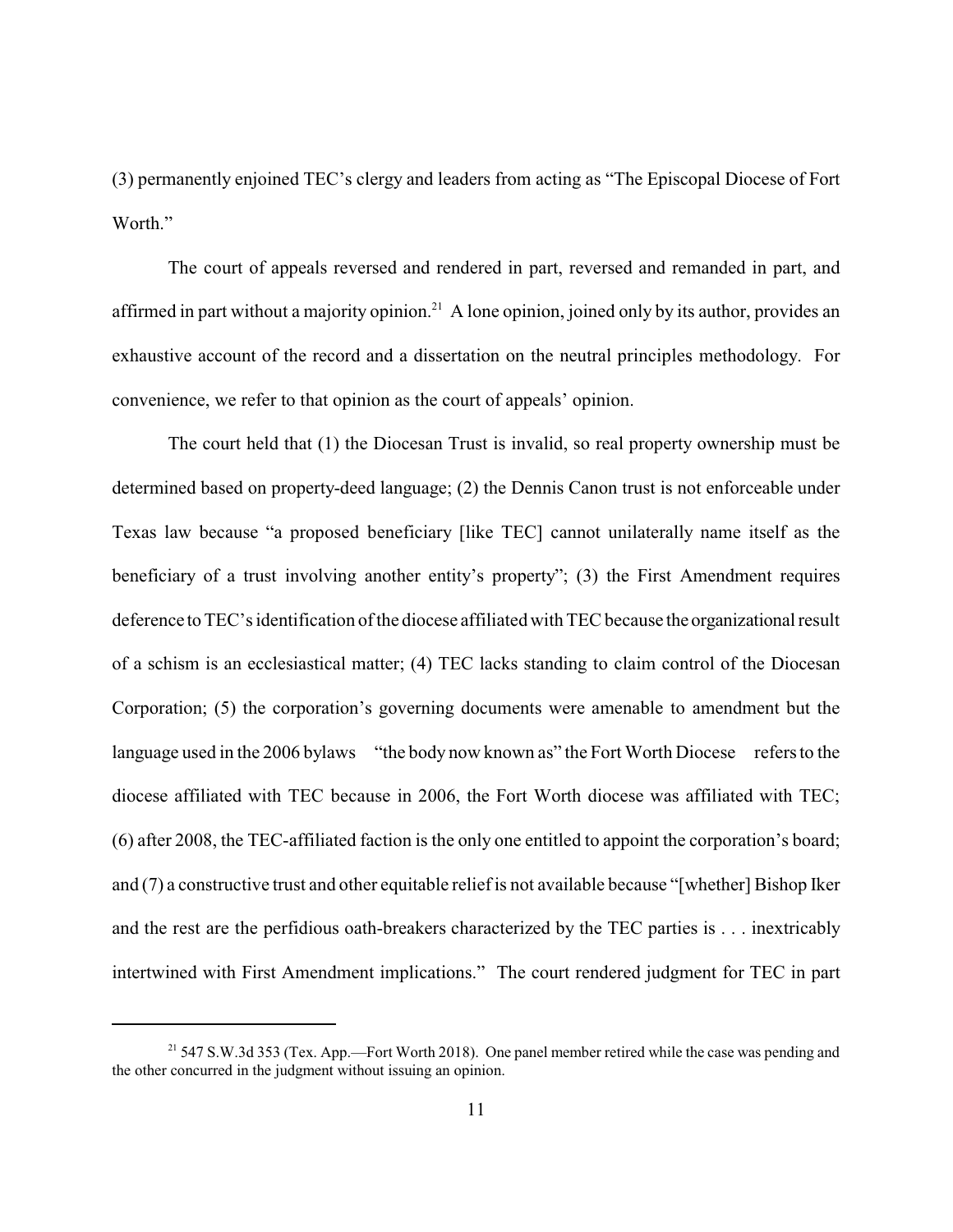(3) permanently enjoined TEC's clergy and leaders from acting as "The Episcopal Diocese of Fort Worth."

The court of appeals reversed and rendered in part, reversed and remanded in part, and affirmed in part without a majority opinion.<sup>21</sup> A lone opinion, joined only by its author, provides an exhaustive account of the record and a dissertation on the neutral principles methodology. For convenience, we refer to that opinion as the court of appeals' opinion.

The court held that (1) the Diocesan Trust is invalid, so real property ownership must be determined based on property-deed language; (2) the Dennis Canon trust is not enforceable under Texas law because "a proposed beneficiary [like TEC] cannot unilaterally name itself as the beneficiary of a trust involving another entity's property'; (3) the First Amendment requires deference to TEC's identification of the diocese affiliated with TEC because the organizational result of a schism is an ecclesiastical matter; (4) TEC lacks standing to claim control of the Diocesan Corporation; (5) the corporation's governing documents were amenable to amendment but the language used in the 2006 bylaws "the body now known as" the Fort Worth Diocese refers to the diocese affiliated with TEC because in 2006, the Fort Worth diocese was affiliated with TEC; (6) after 2008, the TEC-affiliated faction is the only one entitled to appoint the corporation's board; and (7) a constructive trust and other equitable relief is not available because "[whether] Bishop Iker and the rest are the perfidious oath-breakers characterized by the TEC parties is . . . inextricably intertwined with First Amendment implications." The court rendered judgment for TEC in part

<sup>&</sup>lt;sup>21</sup> 547 S.W.3d 353 (Tex. App.—Fort Worth 2018). One panel member retired while the case was pending and the other concurred in the judgment without issuing an opinion.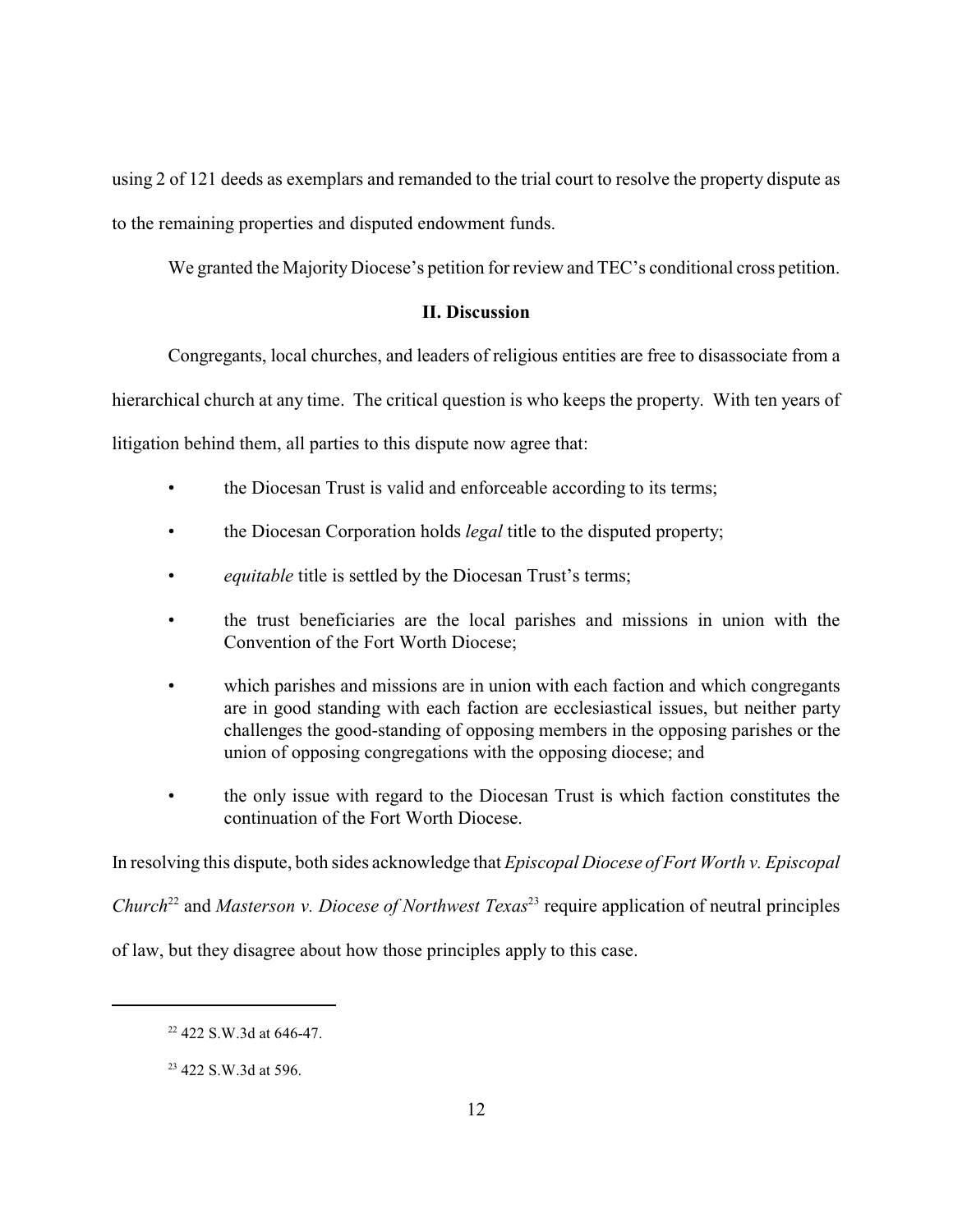using 2 of 121 deeds as exemplars and remanded to the trial court to resolve the property dispute as to the remaining properties and disputed endowment funds.

We granted the Majority Diocese's petition for review and TEC's conditional cross petition.

## **II. Discussion**

Congregants, local churches, and leaders of religious entities are free to disassociate from a

hierarchical church at any time. The critical question is who keeps the property. With ten years of

litigation behind them, all parties to this dispute now agree that:

- the Diocesan Trust is valid and enforceable according to its terms;
- the Diocesan Corporation holds *legal* title to the disputed property;
- *equitable* title is settled by the Diocesan Trust's terms;
- the trust beneficiaries are the local parishes and missions in union with the Convention of the Fort Worth Diocese;
- which parishes and missions are in union with each faction and which congregants are in good standing with each faction are ecclesiastical issues, but neither party challenges the good-standing of opposing members in the opposing parishes or the union of opposing congregations with the opposing diocese; and
- the only issue with regard to the Diocesan Trust is which faction constitutes the continuation of the Fort Worth Diocese.

In resolving this dispute, both sides acknowledge that *Episcopal Diocese of Fort Worth v. Episcopal*

*Church*<sup>22</sup> and *Masterson v. Diocese of Northwest Texas*<sup>23</sup> require application of neutral principles

of law, but they disagree about how those principles apply to this case.

<sup>&</sup>lt;sup>22</sup> 422 S.W.3d at 646-47.

<sup>&</sup>lt;sup>23</sup> 422 S.W.3d at 596.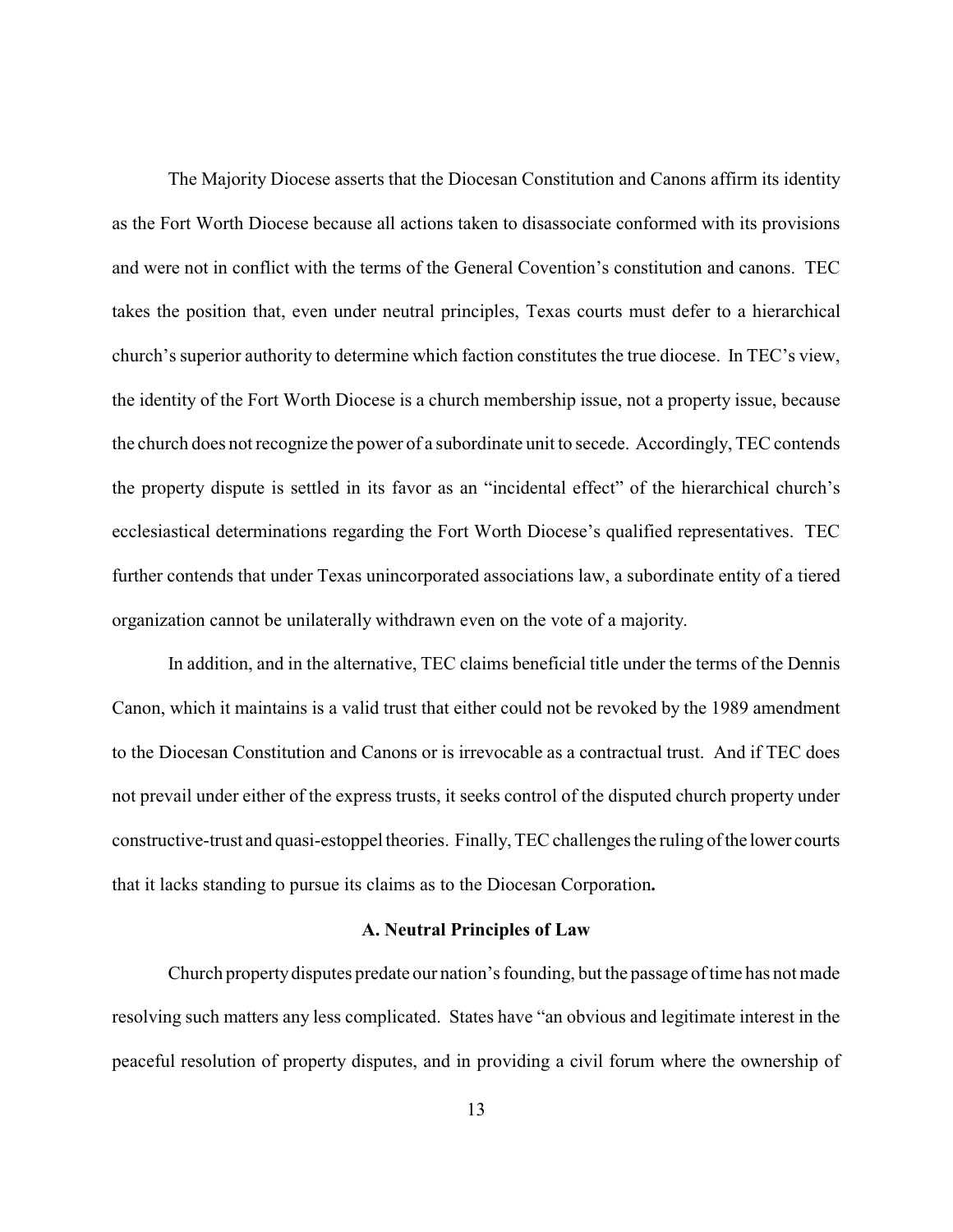The Majority Diocese asserts that the Diocesan Constitution and Canons affirm its identity as the Fort Worth Diocese because all actions taken to disassociate conformed with its provisions and were not in conflict with the terms of the General Covention's constitution and canons. TEC takes the position that, even under neutral principles, Texas courts must defer to a hierarchical church's superior authority to determine which faction constitutes the true diocese. In TEC's view, the identity of the Fort Worth Diocese is a church membership issue, not a property issue, because the church does not recognize the power of a subordinate unit to secede. Accordingly, TEC contends the property dispute is settled in its favor as an "incidental effect" of the hierarchical church's ecclesiastical determinations regarding the Fort Worth Diocese's qualified representatives. TEC further contends that under Texas unincorporated associations law, a subordinate entity of a tiered organization cannot be unilaterally withdrawn even on the vote of a majority.

In addition, and in the alternative, TEC claims beneficial title under the terms of the Dennis Canon, which it maintains is a valid trust that either could not be revoked by the 1989 amendment to the Diocesan Constitution and Canons or is irrevocable as a contractual trust. And if TEC does not prevail under either of the express trusts, it seeks control of the disputed church property under constructive-trust and quasi-estoppel theories. Finally,TEC challenges the ruling of the lower courts that it lacks standing to pursue its claims as to the Diocesan Corporation**.**

#### **A. Neutral Principles of Law**

Church propertydisputes predate our nation's founding, but the passage of time has not made resolving such matters any less complicated. States have "an obvious and legitimate interest in the peaceful resolution of property disputes, and in providing a civil forum where the ownership of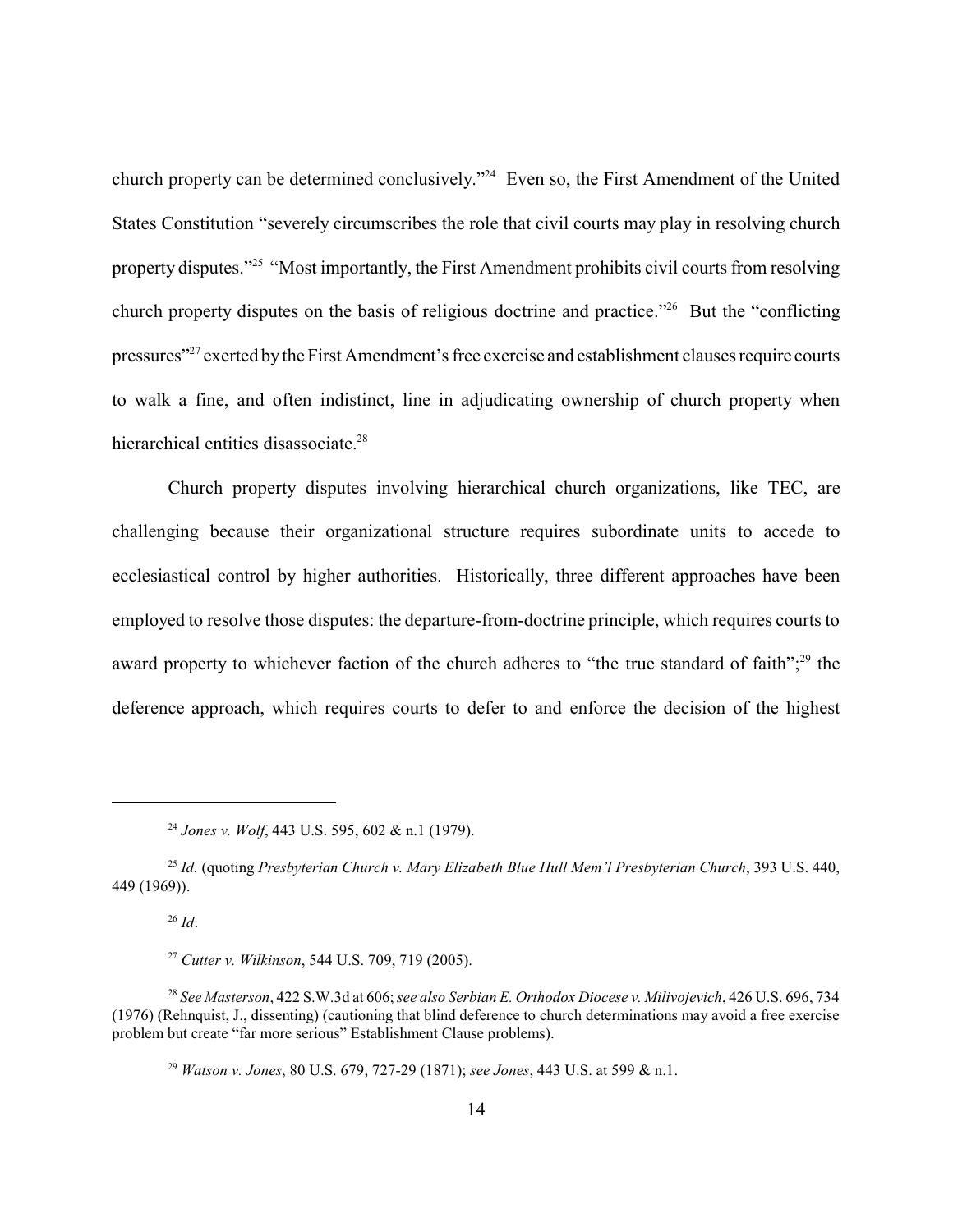church property can be determined conclusively."<sup>24</sup> Even so, the First Amendment of the United States Constitution "severely circumscribes the role that civil courts may play in resolving church property disputes."<sup>25</sup> "Most importantly, the First Amendment prohibits civil courts from resolving church property disputes on the basis of religious doctrine and practice."<sup>26</sup> But the "conflicting pressures"<sup>27</sup> exerted by the First Amendment's free exercise and establishment clauses require courts to walk a fine, and often indistinct, line in adjudicating ownership of church property when hierarchical entities disassociate.<sup>28</sup>

Church property disputes involving hierarchical church organizations, like TEC, are challenging because their organizational structure requires subordinate units to accede to ecclesiastical control by higher authorities. Historically, three different approaches have been employed to resolve those disputes: the departure-from-doctrine principle, which requires courts to award property to whichever faction of the church adheres to "the true standard of faith";<sup>29</sup> the deference approach, which requires courts to defer to and enforce the decision of the highest

 $^{26}$  *Id.* 

<sup>27</sup> *Cutter v. Wilkinson*, 544 U.S. 709, 719 (2005).

<sup>28</sup> *See Masterson*, 422 S.W.3d at 606; *see also Serbian E. Orthodox Diocese v. Milivojevich*, 426 U.S. 696, 734 (1976) (Rehnquist, J., dissenting) (cautioning that blind deference to church determinations may avoid a free exercise problem but create "far more serious" Establishment Clause problems).

<sup>24</sup> *Jones v. Wolf*, 443 U.S. 595, 602 & n.1 (1979).

<sup>25</sup> *Id.* (quoting *Presbyterian Church v. Mary Elizabeth Blue Hull Mem'l Presbyterian Church*, 393 U.S. 440, 449 (1969)).

<sup>29</sup> *Watson v. Jones*, 80 U.S. 679, 727-29 (1871); *see Jones*, 443 U.S. at 599 & n.1.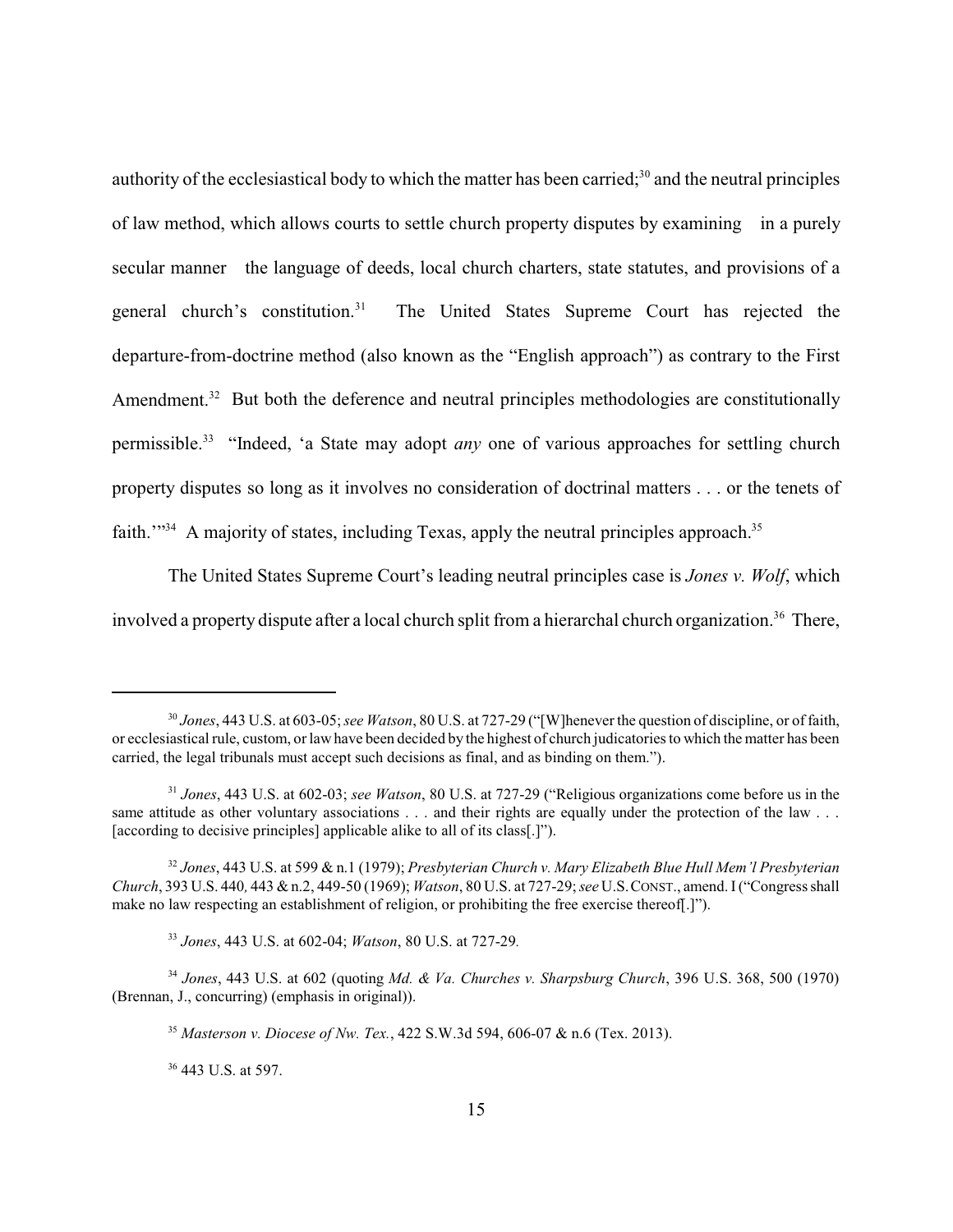authority of the ecclesiastical body to which the matter has been carried;<sup>30</sup> and the neutral principles of law method, which allows courts to settle church property disputes by examining in a purely secular manner the language of deeds, local church charters, state statutes, and provisions of a general church's constitution.<sup>31</sup> The United States Supreme Court has rejected the departure-from-doctrine method (also known as the "English approach") as contrary to the First Amendment.<sup>32</sup> But both the deference and neutral principles methodologies are constitutionally permissible.<sup>33</sup> "Indeed, 'a State may adopt *any* one of various approaches for settling church property disputes so long as it involves no consideration of doctrinal matters . . . or the tenets of faith.<sup> $1^{34}$ </sup> A majority of states, including Texas, apply the neutral principles approach.<sup>35</sup>

The United States Supreme Court's leading neutral principles case is *Jones v. Wolf*, which involved a property dispute after a local church split from a hierarchal church organization.<sup>36</sup> There,

<sup>30</sup> *Jones*, 443 U.S. at 603-05; *see Watson*, 80 U.S. at 727-29 ("[W]henever the question of discipline, or of faith, or ecclesiastical rule, custom, or law have been decided by the highest of church judicatories to which the matter has been carried, the legal tribunals must accept such decisions as final, and as binding on them.").

<sup>31</sup> *Jones*, 443 U.S. at 602-03; *see Watson*, 80 U.S. at 727-29 ("Religious organizations come before us in the same attitude as other voluntary associations . . . and their rights are equally under the protection of the law . . . [according to decisive principles] applicable alike to all of its class[.]").

<sup>32</sup> *Jones*, 443 U.S. at 599 & n.1 (1979); *Presbyterian Church v. Mary Elizabeth Blue Hull Mem'l Presbyterian Church*, 393 U.S. 440*,* 443 & n.2, 449-50 (1969); *Watson*, 80 U.S. at 727-29; *see* U.S.CONST., amend. I ("Congress shall make no law respecting an establishment of religion, or prohibiting the free exercise thereof[.]").

<sup>33</sup> *Jones*, 443 U.S. at 602-04; *Watson*, 80 U.S. at 727-29*.*

<sup>34</sup> *Jones*, 443 U.S. at 602 (quoting *Md. & Va. Churches v. Sharpsburg Church*, 396 U.S. 368, 500 (1970) (Brennan, J., concurring) (emphasis in original)).

<sup>35</sup> *Masterson v. Diocese of Nw. Tex.*, 422 S.W.3d 594, 606-07 & n.6 (Tex. 2013).

<sup>&</sup>lt;sup>36</sup> 443 U.S. at 597.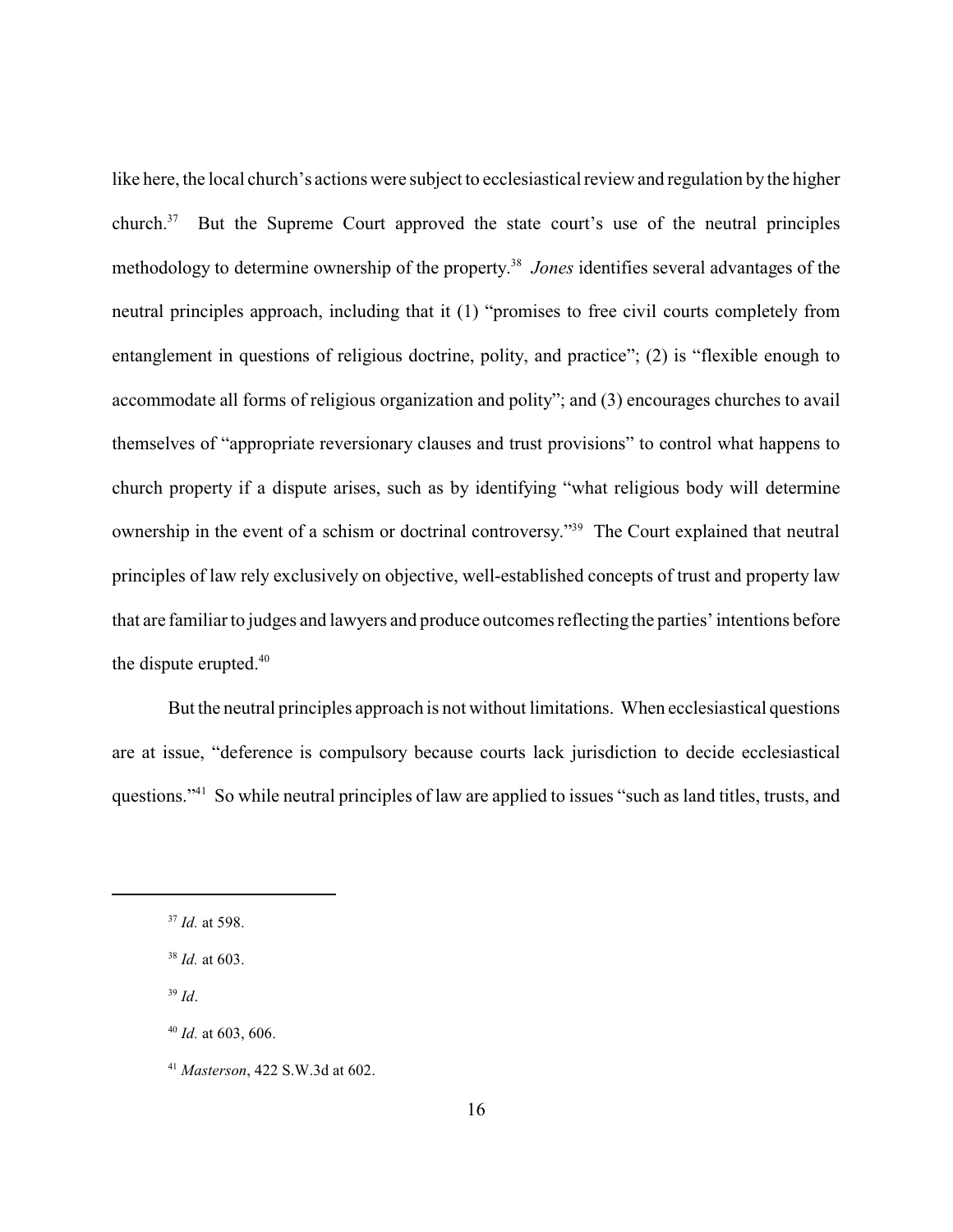like here, the local church's actions were subject to ecclesiastical review and regulation by the higher church.<sup>37</sup> But the Supreme Court approved the state court's use of the neutral principles methodology to determine ownership of the property. 38 *Jones* identifies several advantages of the neutral principles approach, including that it (1) "promises to free civil courts completely from entanglement in questions of religious doctrine, polity, and practice"; (2) is "flexible enough to accommodate all forms of religious organization and polity"; and (3) encourages churches to avail themselves of "appropriate reversionary clauses and trust provisions" to control what happens to church property if a dispute arises, such as by identifying "what religious body will determine ownership in the event of a schism or doctrinal controversy."<sup>39</sup> The Court explained that neutral principles of law rely exclusively on objective, well-established concepts of trust and property law that are familiar to judges and lawyers and produce outcomes reflecting the parties' intentions before the dispute erupted. $40$ 

But the neutral principles approach is not without limitations. When ecclesiastical questions are at issue, "deference is compulsory because courts lack jurisdiction to decide ecclesiastical questions."<sup>41</sup> So while neutral principles of law are applied to issues "such as land titles, trusts, and

<sup>37</sup> *Id.* at 598.

<sup>38</sup> *Id.* at 603.

<sup>39</sup> *Id*.

<sup>40</sup> *Id.* at 603, 606.

<sup>41</sup> *Masterson*, 422 S.W.3d at 602.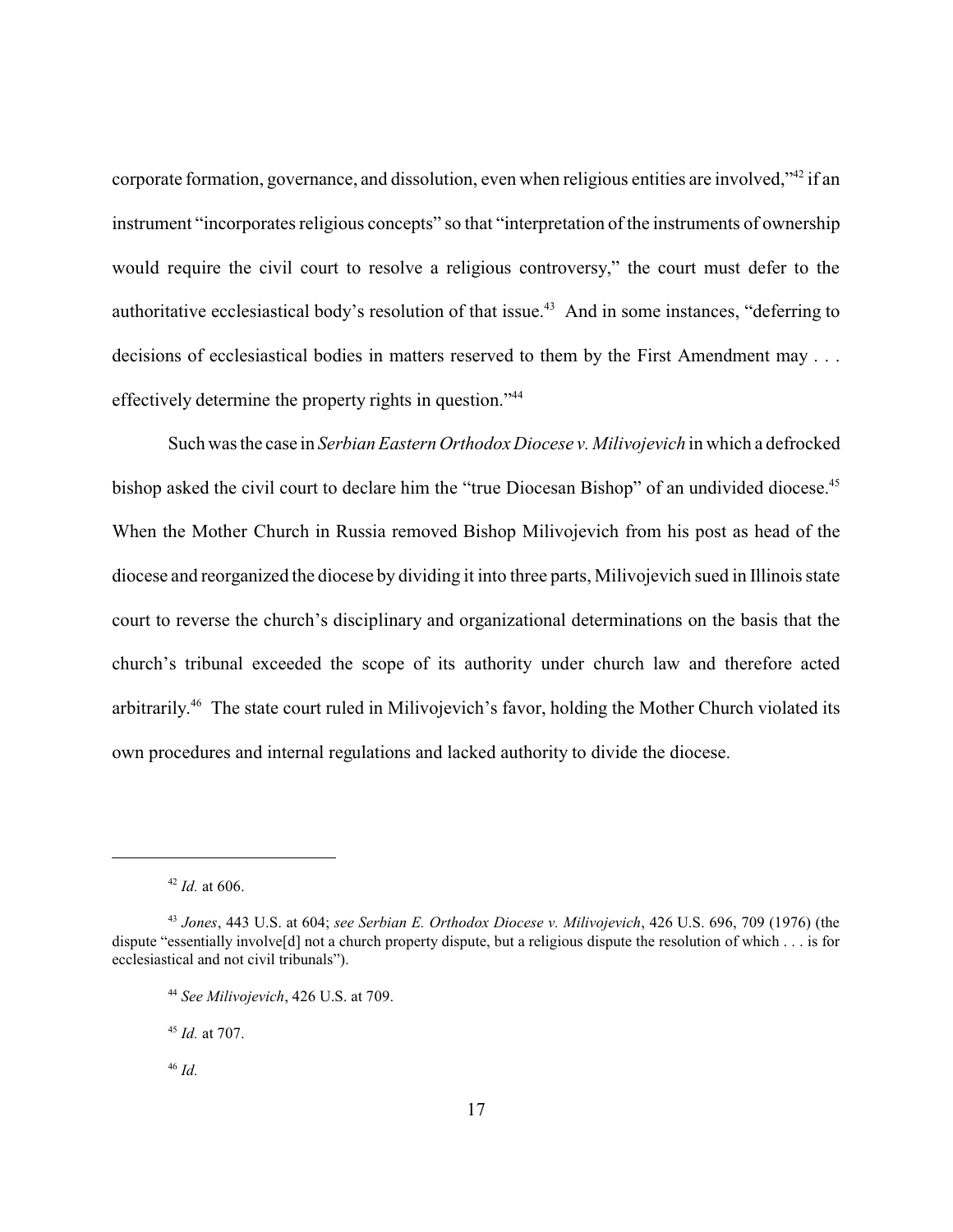corporate formation, governance, and dissolution, even when religious entities are involved,"<sup>42</sup> if an instrument "incorporates religious concepts" so that "interpretation of the instruments of ownership would require the civil court to resolve a religious controversy," the court must defer to the authoritative ecclesiastical body's resolution of that issue.<sup>43</sup> And in some instances, "deferring to decisions of ecclesiastical bodies in matters reserved to them by the First Amendment may . . . effectively determine the property rights in question."<sup>44</sup>

Such was the case in *Serbian Eastern Orthodox Diocese v. Milivojevich* in which a defrocked bishop asked the civil court to declare him the "true Diocesan Bishop" of an undivided diocese.<sup>45</sup> When the Mother Church in Russia removed Bishop Milivojevich from his post as head of the diocese and reorganized the diocese by dividing it into three parts, Milivojevich sued in Illinois state court to reverse the church's disciplinary and organizational determinations on the basis that the church's tribunal exceeded the scope of its authority under church law and therefore acted arbitrarily. 46 The state court ruled in Milivojevich's favor, holding the Mother Church violated its own procedures and internal regulations and lacked authority to divide the diocese.

 $42$  *Id.* at 606.

<sup>43</sup> *Jones*, 443 U.S. at 604; *see Serbian E. Orthodox Diocese v. Milivojevich*, 426 U.S. 696, 709 (1976) (the dispute "essentially involve[d] not a church property dispute, but a religious dispute the resolution of which . . . is for ecclesiastical and not civil tribunals").

<sup>44</sup> *See Milivojevich*, 426 U.S. at 709.

<sup>45</sup> *Id.* at 707.

<sup>46</sup> *Id.*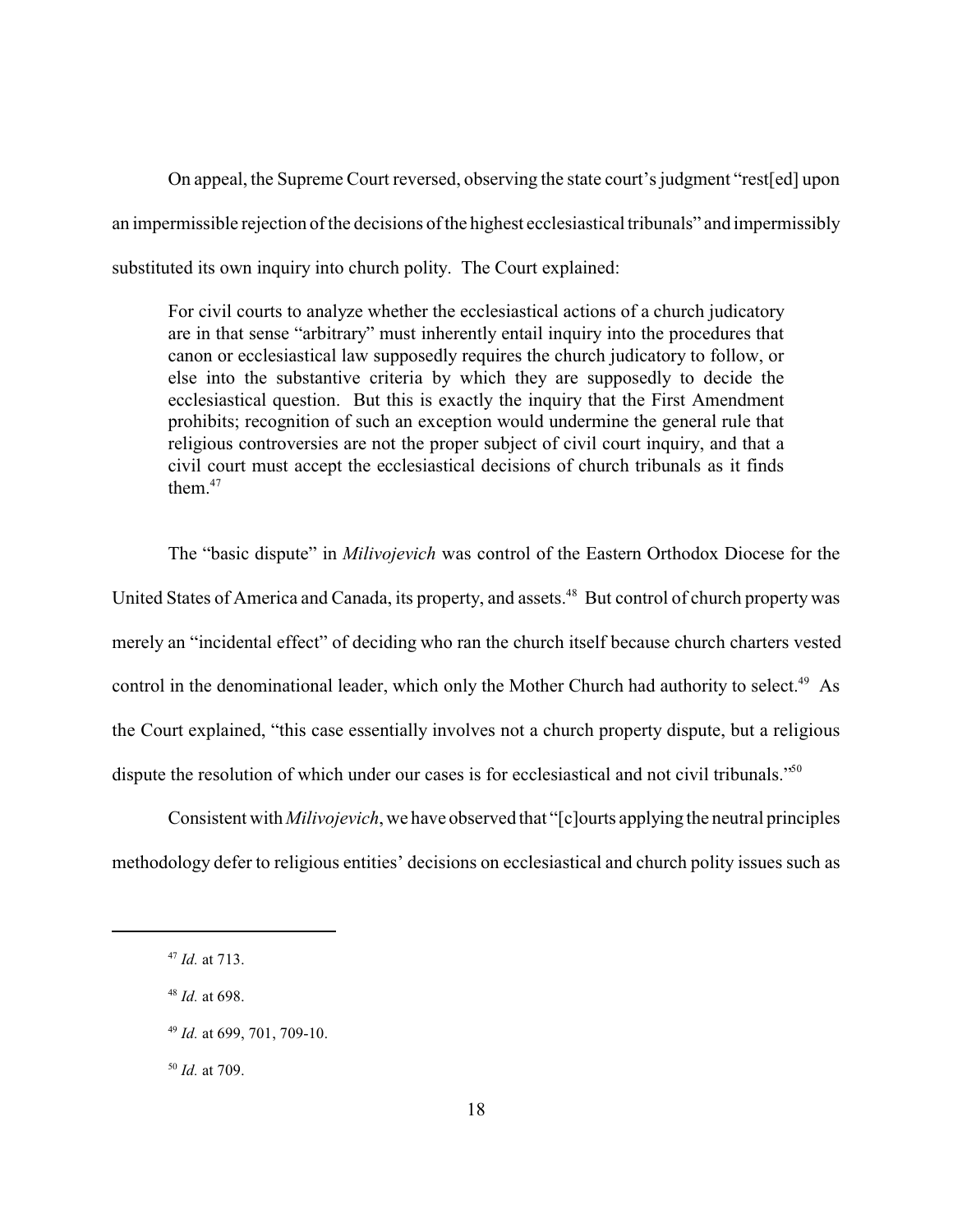On appeal, the Supreme Court reversed, observing the state court's judgment "rest[ed] upon an impermissible rejection of the decisions of the highest ecclesiastical tribunals" and impermissibly substituted its own inquiry into church polity. The Court explained:

For civil courts to analyze whether the ecclesiastical actions of a church judicatory are in that sense "arbitrary" must inherently entail inquiry into the procedures that canon or ecclesiastical law supposedly requires the church judicatory to follow, or else into the substantive criteria by which they are supposedly to decide the ecclesiastical question. But this is exactly the inquiry that the First Amendment prohibits; recognition of such an exception would undermine the general rule that religious controversies are not the proper subject of civil court inquiry, and that a civil court must accept the ecclesiastical decisions of church tribunals as it finds them. $47$ 

The "basic dispute" in *Milivojevich* was control of the Eastern Orthodox Diocese for the United States of America and Canada, its property, and assets.<sup>48</sup> But control of church property was merely an "incidental effect" of deciding who ran the church itself because church charters vested control in the denominational leader, which only the Mother Church had authority to select.<sup>49</sup> As the Court explained, "this case essentially involves not a church property dispute, but a religious dispute the resolution of which under our cases is for ecclesiastical and not civil tribunals."<sup>50</sup>

Consistent with *Milivojevich*, we have observed that "[c]ourts applying the neutral principles methodology defer to religious entities' decisions on ecclesiastical and church polity issues such as

<sup>50</sup> *Id.* at 709.

<sup>47</sup> *Id.* at 713.

<sup>48</sup> *Id.* at 698.

<sup>49</sup> *Id.* at 699, 701, 709-10.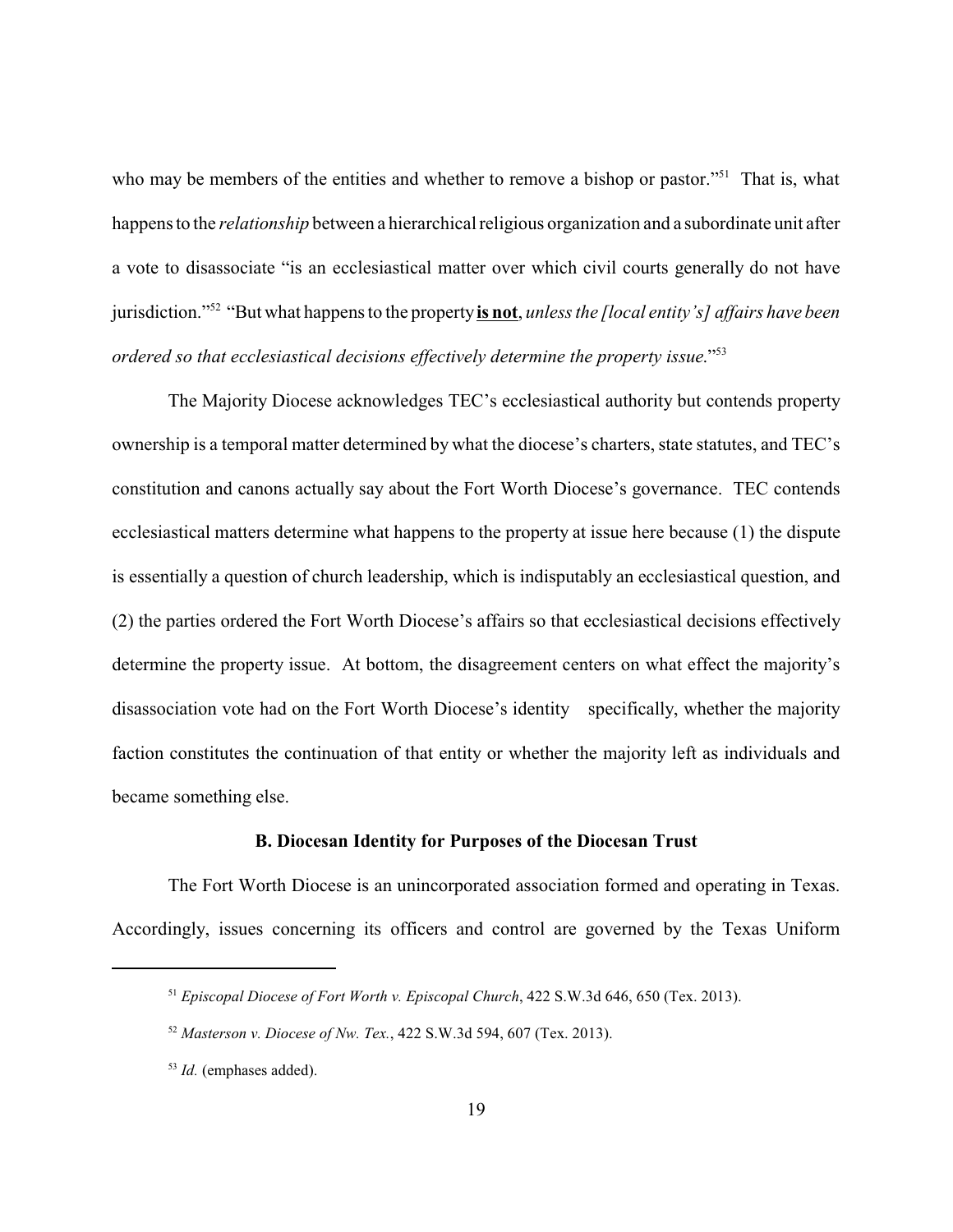who may be members of the entities and whether to remove a bishop or pastor."<sup>51</sup> That is, what happens to the *relationship* between a hierarchical religious organization and a subordinate unit after a vote to disassociate "is an ecclesiastical matter over which civil courts generally do not have jurisdiction."<sup>52</sup> "But what happens to the property **is not**, *unless the [local entity's] affairs have been ordered so that ecclesiastical decisions effectively determine the property issue*."<sup>53</sup>

The Majority Diocese acknowledges TEC's ecclesiastical authority but contends property ownership is a temporal matter determined by what the diocese's charters, state statutes, and TEC's constitution and canons actually say about the Fort Worth Diocese's governance. TEC contends ecclesiastical matters determine what happens to the property at issue here because (1) the dispute is essentially a question of church leadership, which is indisputably an ecclesiastical question, and (2) the parties ordered the Fort Worth Diocese's affairs so that ecclesiastical decisions effectively determine the property issue. At bottom, the disagreement centers on what effect the majority's disassociation vote had on the Fort Worth Diocese's identity specifically, whether the majority faction constitutes the continuation of that entity or whether the majority left as individuals and became something else.

### **B. Diocesan Identity for Purposes of the Diocesan Trust**

The Fort Worth Diocese is an unincorporated association formed and operating in Texas. Accordingly, issues concerning its officers and control are governed by the Texas Uniform

<sup>51</sup> *Episcopal Diocese of Fort Worth v. Episcopal Church*, 422 S.W.3d 646, 650 (Tex. 2013).

<sup>52</sup> *Masterson v. Diocese of Nw. Tex.*, 422 S.W.3d 594, 607 (Tex. 2013).

<sup>53</sup> *Id.* (emphases added).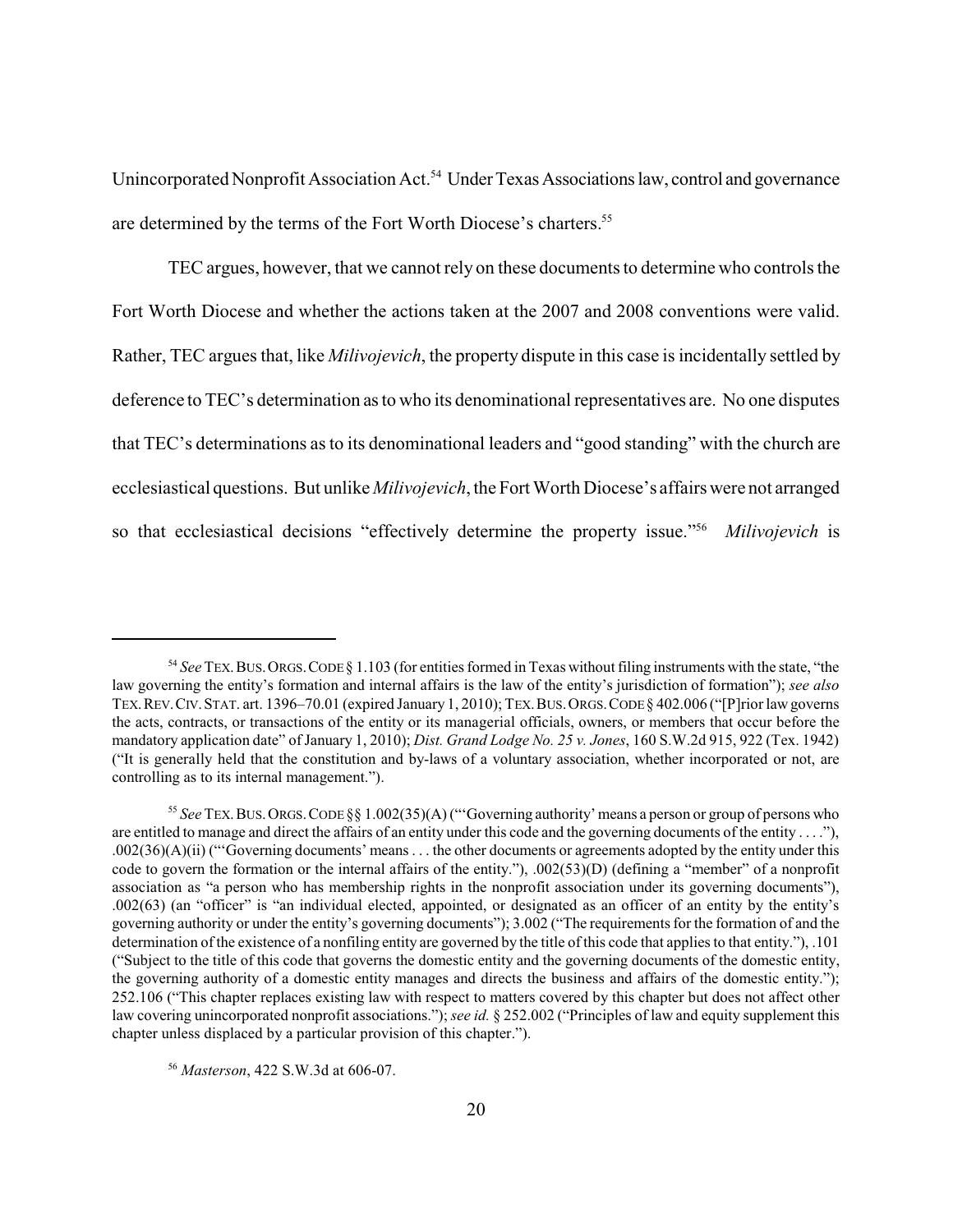Unincorporated Nonprofit Association Act.<sup>54</sup> Under Texas Associations law, control and governance are determined by the terms of the Fort Worth Diocese's charters.<sup>55</sup>

TEC argues, however, that we cannot rely on these documents to determine who controls the Fort Worth Diocese and whether the actions taken at the 2007 and 2008 conventions were valid. Rather, TEC argues that, like *Milivojevich*, the property dispute in this case is incidentally settled by deference to TEC's determination as to who its denominational representatives are. No one disputes that TEC's determinations as to its denominational leaders and "good standing" with the church are ecclesiastical questions. But unlike *Milivojevich*, the Fort Worth Diocese's affairs were not arranged so that ecclesiastical decisions "effectively determine the property issue."<sup>56</sup> *Milivojevich* is

<sup>54</sup> *See* TEX.BUS.ORGS.CODE§ 1.103 (for entities formed in Texas without filing instruments with the state, "the law governing the entity's formation and internal affairs is the law of the entity's jurisdiction of formation"); *see also* TEX.REV.CIV.STAT. art. 1396–70.01 (expired January 1, 2010); TEX.BUS.ORGS.CODE§ 402.006 ("[P]rior lawgoverns the acts, contracts, or transactions of the entity or its managerial officials, owners, or members that occur before the mandatory application date" ofJanuary 1, 2010); *Dist. Grand Lodge No. 25 v. Jones*, 160 S.W.2d 915, 922 (Tex. 1942) ("It is generally held that the constitution and by-laws of a voluntary association, whether incorporated or not, are controlling as to its internal management.").

<sup>55</sup> *See* TEX.BUS.ORGS.CODE§§ 1.002(35)(A) ("'Governing authority'means a person or group of persons who are entitled to manage and direct the affairs of an entity under this code and the governing documents of the entity . . . ."),  $.002(36)(A)(ii)$  ("Governing documents' means . . . the other documents or agreements adopted by the entity under this code to govern the formation or the internal affairs of the entity."), .002(53)(D) (defining a "member" of a nonprofit association as "a person who has membership rights in the nonprofit association under its governing documents"), .002(63) (an "officer" is "an individual elected, appointed, or designated as an officer of an entity by the entity's governing authority or under the entity's governing documents"); 3.002 ("The requirements for the formation of and the determination of the existence of a nonfiling entity are governed by the title of this code that applies to that entity."), .101 ("Subject to the title of this code that governs the domestic entity and the governing documents of the domestic entity, the governing authority of a domestic entity manages and directs the business and affairs of the domestic entity."); 252.106 ("This chapter replaces existing law with respect to matters covered by this chapter but does not affect other law covering unincorporated nonprofit associations."); *see id.* § 252.002 ("Principles of law and equity supplement this chapter unless displaced by a particular provision of this chapter.").

<sup>56</sup> *Masterson*, 422 S.W.3d at 606-07.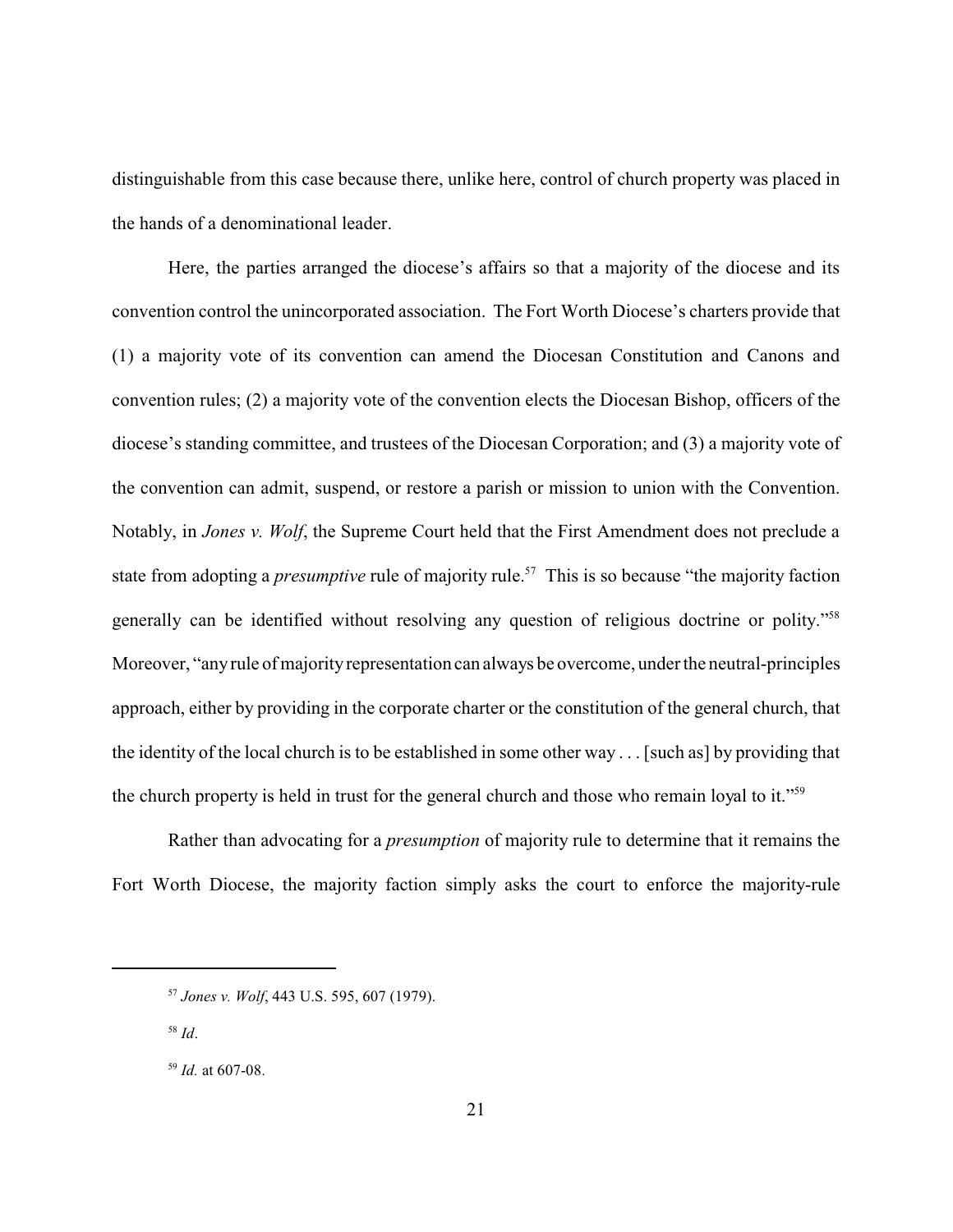distinguishable from this case because there, unlike here, control of church property was placed in the hands of a denominational leader.

Here, the parties arranged the diocese's affairs so that a majority of the diocese and its convention control the unincorporated association. The Fort Worth Diocese's charters provide that (1) a majority vote of its convention can amend the Diocesan Constitution and Canons and convention rules; (2) a majority vote of the convention elects the Diocesan Bishop, officers of the diocese's standing committee, and trustees of the Diocesan Corporation; and (3) a majority vote of the convention can admit, suspend, or restore a parish or mission to union with the Convention. Notably, in *Jones v. Wolf*, the Supreme Court held that the First Amendment does not preclude a state from adopting a *presumptive* rule of majority rule.<sup>57</sup> This is so because "the majority faction generally can be identified without resolving any question of religious doctrine or polity."<sup>58</sup> Moreover, "any rule of majority representation can always be overcome, under the neutral-principles approach, either by providing in the corporate charter or the constitution of the general church, that the identity of the local church is to be established in some other way . . . [such as] by providing that the church property is held in trust for the general church and those who remain loyal to it."<sup>59</sup>

Rather than advocating for a *presumption* of majority rule to determine that it remains the Fort Worth Diocese, the majority faction simply asks the court to enforce the majority-rule

<sup>58</sup> *Id*.

<sup>57</sup> *Jones v. Wolf*, 443 U.S. 595, 607 (1979).

<sup>59</sup> *Id.* at 607-08.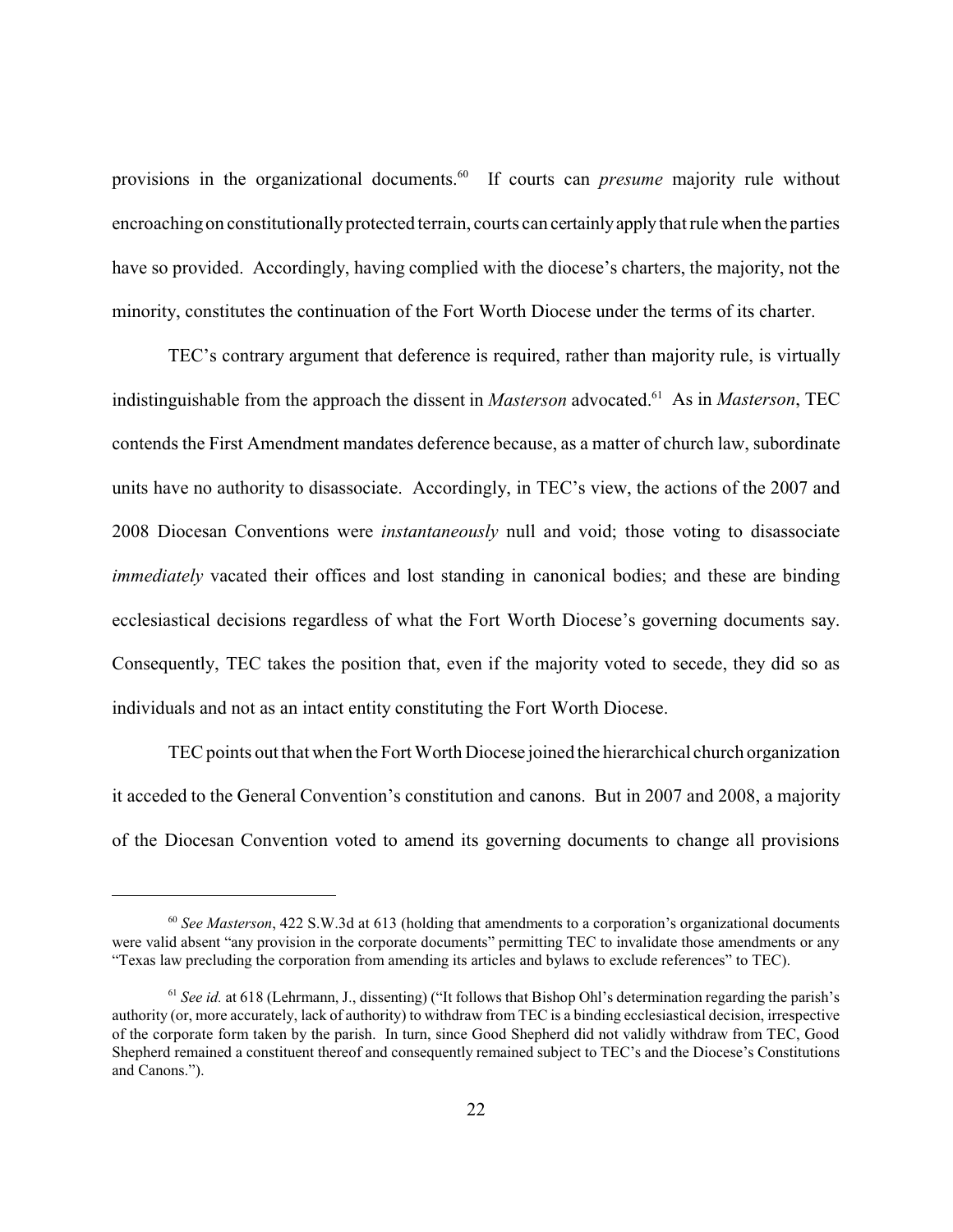provisions in the organizational documents.<sup>60</sup> If courts can *presume* majority rule without encroachingon constitutionally protected terrain, courts can certainlyapplythat rule when the parties have so provided. Accordingly, having complied with the diocese's charters, the majority, not the minority, constitutes the continuation of the Fort Worth Diocese under the terms of its charter.

TEC's contrary argument that deference is required, rather than majority rule, is virtually indistinguishable from the approach the dissent in *Masterson* advocated.<sup>61</sup> As in *Masterson*, TEC contends the First Amendment mandates deference because, as a matter of church law, subordinate units have no authority to disassociate. Accordingly, in TEC's view, the actions of the 2007 and 2008 Diocesan Conventions were *instantaneously* null and void; those voting to disassociate *immediately* vacated their offices and lost standing in canonical bodies; and these are binding ecclesiastical decisions regardless of what the Fort Worth Diocese's governing documents say. Consequently, TEC takes the position that, even if the majority voted to secede, they did so as individuals and not as an intact entity constituting the Fort Worth Diocese.

TEC points out that when the Fort Worth Diocese joined the hierarchical church organization it acceded to the General Convention's constitution and canons. But in 2007 and 2008, a majority of the Diocesan Convention voted to amend its governing documents to change all provisions

<sup>60</sup> *See Masterson*, 422 S.W.3d at 613 (holding that amendments to a corporation's organizational documents were valid absent "any provision in the corporate documents" permitting TEC to invalidate those amendments or any "Texas law precluding the corporation from amending its articles and bylaws to exclude references" to TEC).

<sup>&</sup>lt;sup>61</sup> *See id.* at 618 (Lehrmann, J., dissenting) ("It follows that Bishop Ohl's determination regarding the parish's authority (or, more accurately, lack of authority) to withdraw from TEC is a binding ecclesiastical decision, irrespective of the corporate form taken by the parish. In turn, since Good Shepherd did not validly withdraw from TEC, Good Shepherd remained a constituent thereof and consequently remained subject to TEC's and the Diocese's Constitutions and Canons.").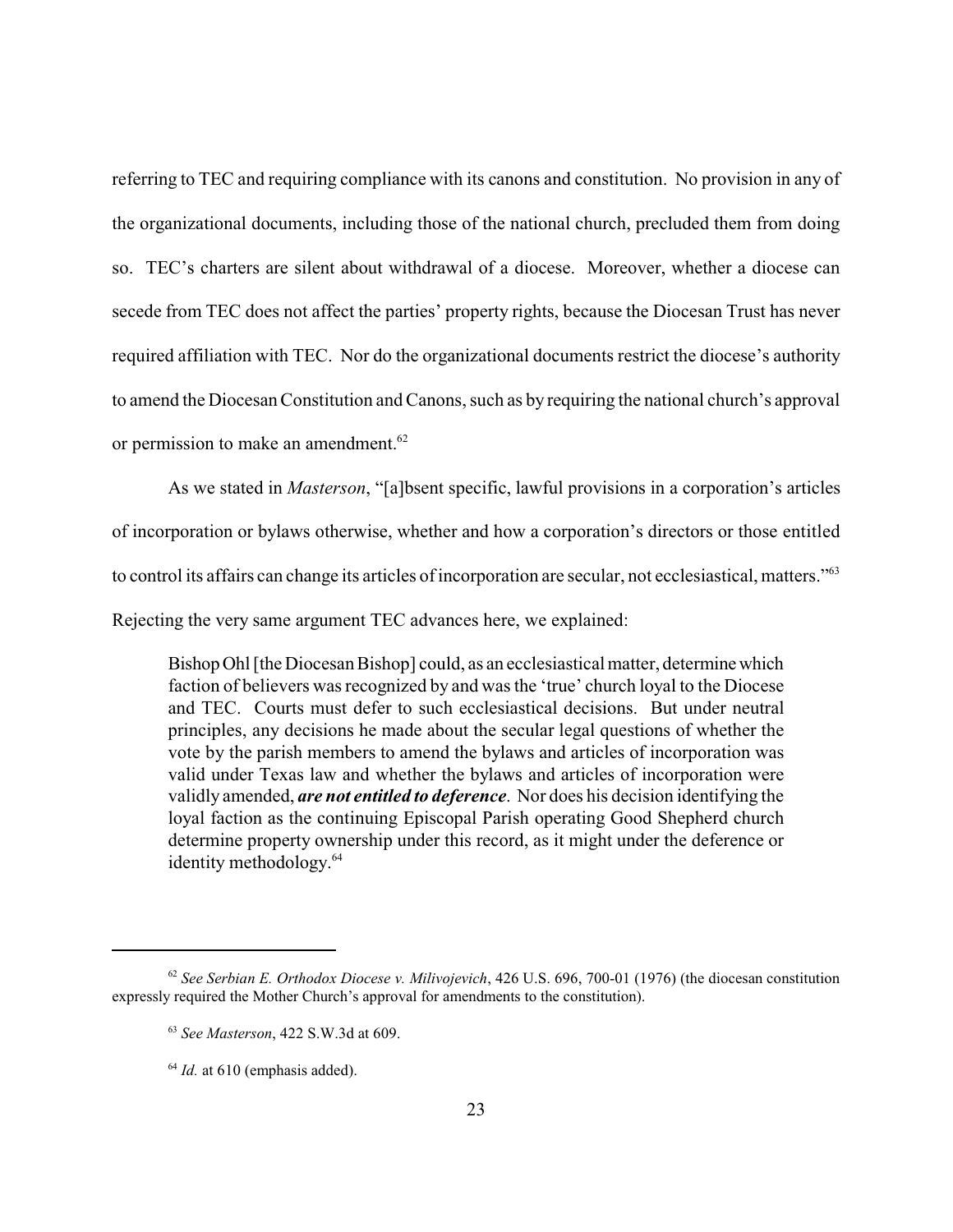referring to TEC and requiring compliance with its canons and constitution. No provision in any of the organizational documents, including those of the national church, precluded them from doing so. TEC's charters are silent about withdrawal of a diocese. Moreover, whether a diocese can secede from TEC does not affect the parties' property rights, because the Diocesan Trust has never required affiliation with TEC. Nor do the organizational documents restrict the diocese's authority to amend the Diocesan Constitution and Canons, such as by requiring the national church's approval or permission to make an amendment.<sup>62</sup>

As we stated in *Masterson*, "[a]bsent specific, lawful provisions in a corporation's articles

of incorporation or bylaws otherwise, whether and how a corporation's directors or those entitled

to control its affairs can change its articles of incorporation are secular, not ecclesiastical, matters."<sup>63</sup>

Rejecting the very same argument TEC advances here, we explained:

BishopOhl [the Diocesan Bishop] could, as an ecclesiastical matter, determinewhich faction of believers was recognized by and was the 'true' church loyal to the Diocese and TEC. Courts must defer to such ecclesiastical decisions. But under neutral principles, any decisions he made about the secular legal questions of whether the vote by the parish members to amend the bylaws and articles of incorporation was valid under Texas law and whether the bylaws and articles of incorporation were validly amended, *are not entitled to deference*. Nor does his decision identifying the loyal faction as the continuing Episcopal Parish operating Good Shepherd church determine property ownership under this record, as it might under the deference or identity methodology. 64

<sup>62</sup> *See Serbian E. Orthodox Diocese v. Milivojevich*, 426 U.S. 696, 700-01 (1976) (the diocesan constitution expressly required the Mother Church's approval for amendments to the constitution).

<sup>63</sup> *See Masterson*, 422 S.W.3d at 609.

 $64$  *Id.* at 610 (emphasis added).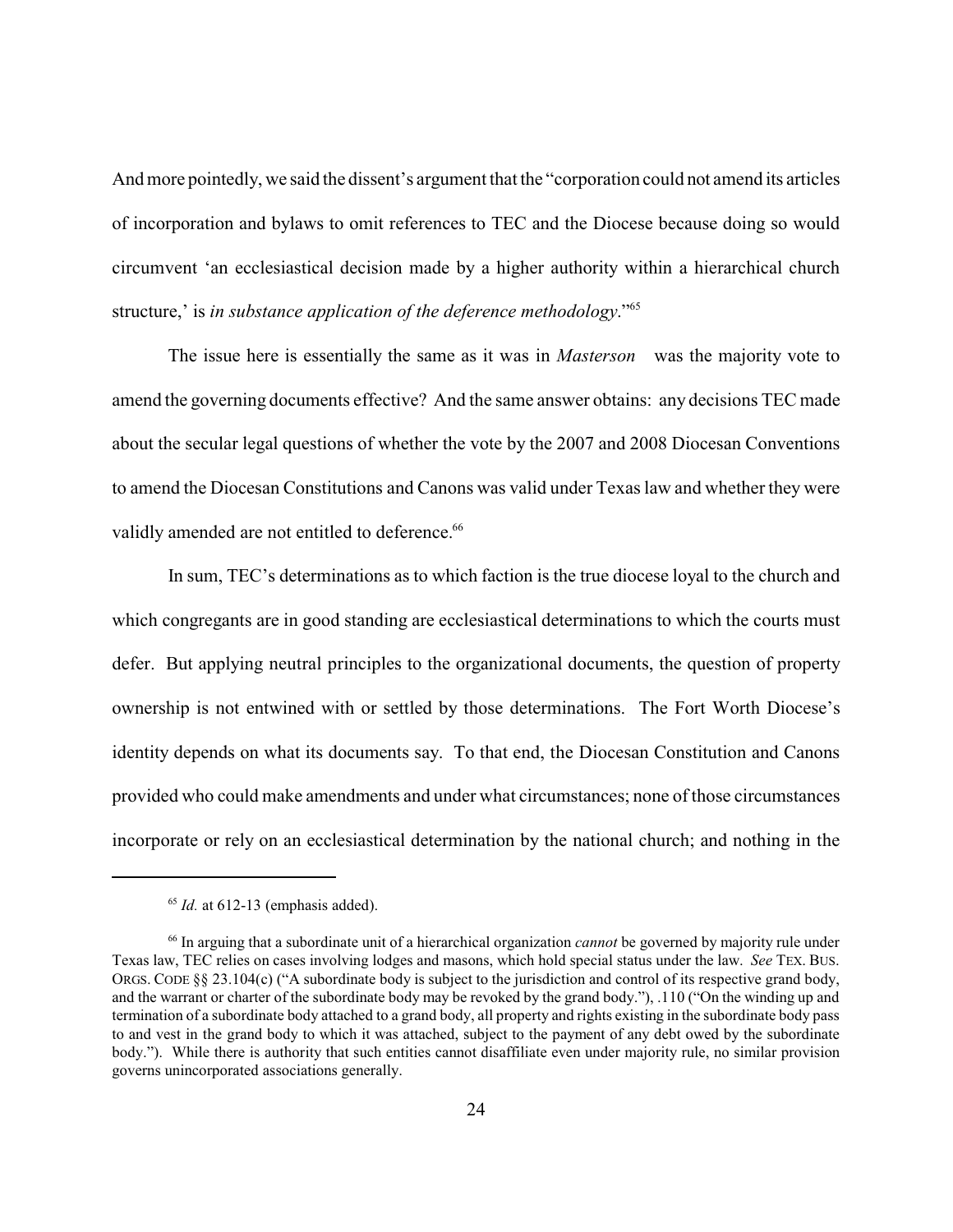And more pointedly, we said the dissent's argument that the "corporation could not amend its articles of incorporation and bylaws to omit references to TEC and the Diocese because doing so would circumvent 'an ecclesiastical decision made by a higher authority within a hierarchical church structure,' is *in substance application of the deference methodology*."<sup>65</sup>

The issue here is essentially the same as it was in *Masterson* was the majority vote to amend the governing documents effective? And the same answer obtains: any decisions TEC made about the secular legal questions of whether the vote by the 2007 and 2008 Diocesan Conventions to amend the Diocesan Constitutions and Canons was valid under Texas law and whether they were validly amended are not entitled to deference.<sup>66</sup>

In sum, TEC's determinations as to which faction is the true diocese loyal to the church and which congregants are in good standing are ecclesiastical determinations to which the courts must defer. But applying neutral principles to the organizational documents, the question of property ownership is not entwined with or settled by those determinations. The Fort Worth Diocese's identity depends on what its documents say. To that end, the Diocesan Constitution and Canons provided who could make amendments and under what circumstances; none of those circumstances incorporate or rely on an ecclesiastical determination by the national church; and nothing in the

 $65$  *Id.* at 612-13 (emphasis added).

<sup>66</sup> In arguing that a subordinate unit of a hierarchical organization *cannot* be governed by majority rule under Texas law, TEC relies on cases involving lodges and masons, which hold special status under the law. *See* TEX. BUS. ORGS. CODE §§ 23.104(c) ("A subordinate body is subject to the jurisdiction and control of its respective grand body, and the warrant or charter of the subordinate body may be revoked by the grand body."), .110 ("On the winding up and termination of a subordinate body attached to a grand body, all property and rights existing in the subordinate body pass to and vest in the grand body to which it was attached, subject to the payment of any debt owed by the subordinate body."). While there is authority that such entities cannot disaffiliate even under majority rule, no similar provision governs unincorporated associations generally.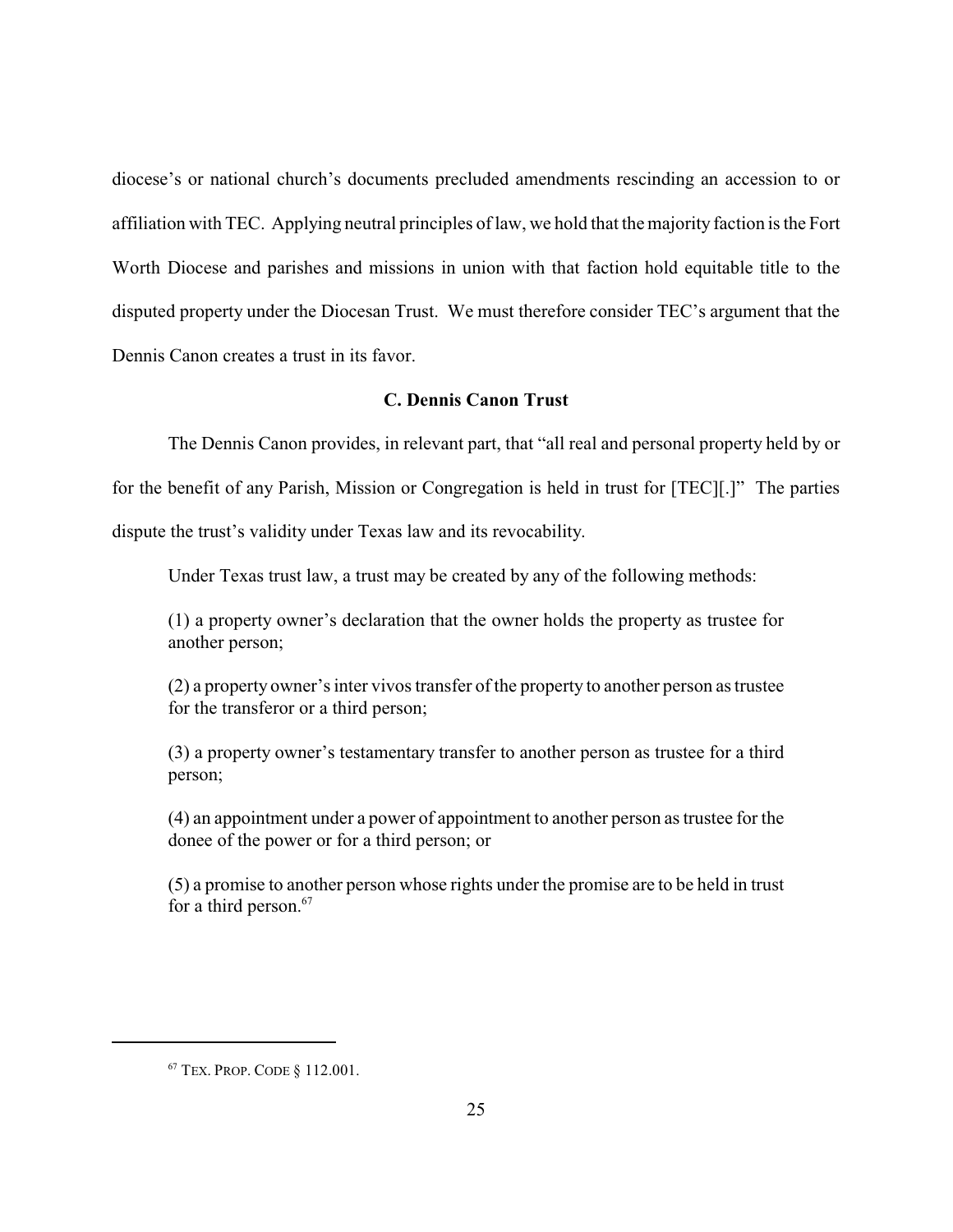diocese's or national church's documents precluded amendments rescinding an accession to or affiliation with TEC. Applying neutral principles of law, we hold that the majority faction is the Fort Worth Diocese and parishes and missions in union with that faction hold equitable title to the disputed property under the Diocesan Trust. We must therefore consider TEC's argument that the Dennis Canon creates a trust in its favor.

### **C. Dennis Canon Trust**

The Dennis Canon provides, in relevant part, that "all real and personal property held by or for the benefit of any Parish, Mission or Congregation is held in trust for [TEC][.]" The parties dispute the trust's validity under Texas law and its revocability.

Under Texas trust law, a trust may be created by any of the following methods:

(1) a property owner's declaration that the owner holds the property as trustee for another person;

(2) a property owner's inter vivos transfer of the property to another person as trustee for the transferor or a third person;

(3) a property owner's testamentary transfer to another person as trustee for a third person;

(4) an appointment under a power of appointment to another person as trustee for the donee of the power or for a third person; or

(5) a promise to another person whose rights under the promise are to be held in trust for a third person.<sup>67</sup>

<sup>67</sup> TEX. PROP. CODE § 112.001.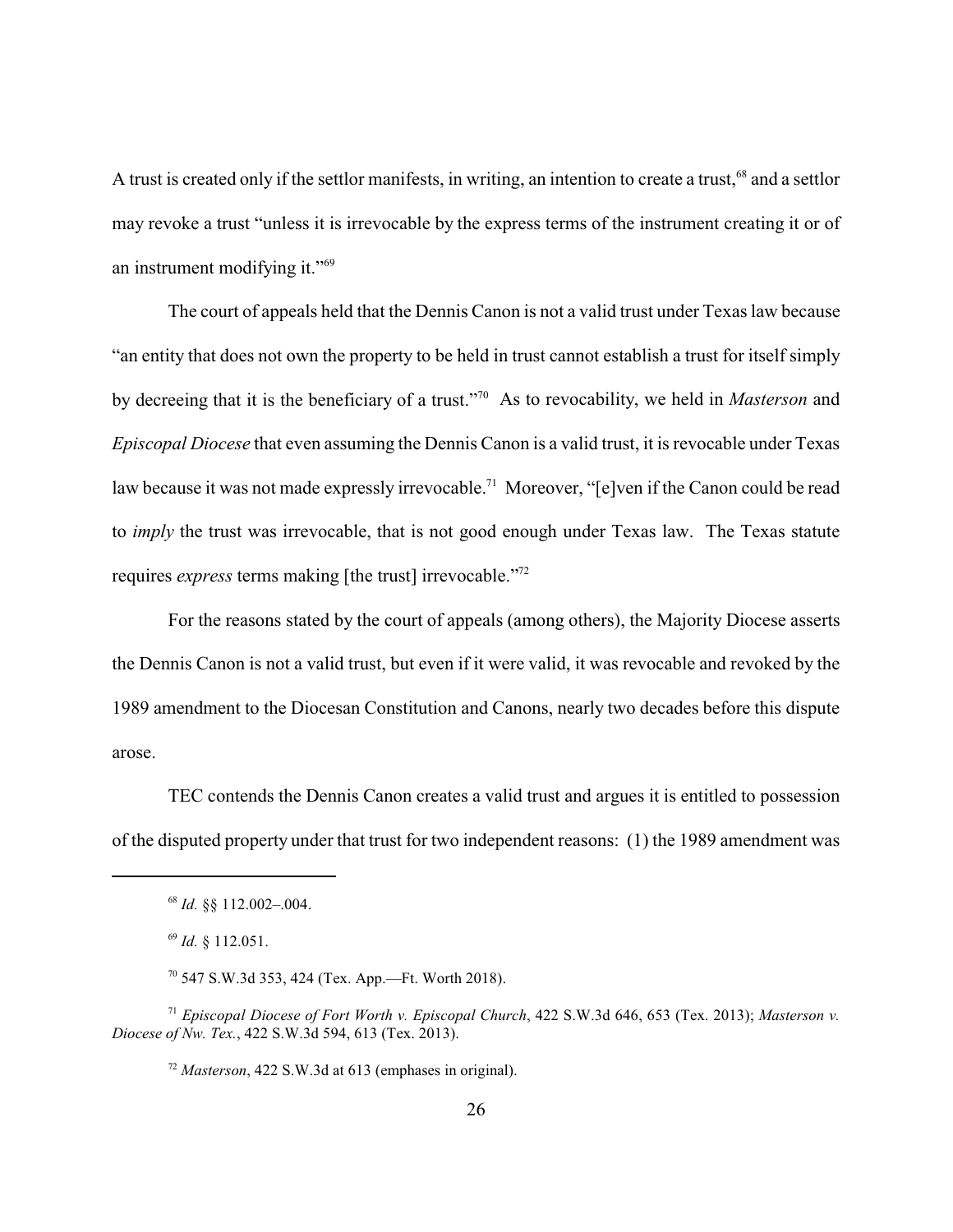A trust is created only if the settlor manifests, in writing, an intention to create a trust,<sup>68</sup> and a settlor may revoke a trust "unless it is irrevocable by the express terms of the instrument creating it or of an instrument modifying it."<sup>69</sup>

The court of appeals held that the Dennis Canon is not a valid trust under Texas law because "an entity that does not own the property to be held in trust cannot establish a trust for itself simply by decreeing that it is the beneficiary of a trust."<sup>70</sup> As to revocability, we held in *Masterson* and *Episcopal Diocese* that even assuming the Dennis Canon is a valid trust, it is revocable under Texas law because it was not made expressly irrevocable.<sup>71</sup> Moreover, "[e]ven if the Canon could be read to *imply* the trust was irrevocable, that is not good enough under Texas law. The Texas statute requires *express* terms making [the trust] irrevocable."<sup>72</sup>

For the reasons stated by the court of appeals (among others), the Majority Diocese asserts the Dennis Canon is not a valid trust, but even if it were valid, it was revocable and revoked by the 1989 amendment to the Diocesan Constitution and Canons, nearly two decades before this dispute arose.

TEC contends the Dennis Canon creates a valid trust and argues it is entitled to possession of the disputed property under that trust for two independent reasons: (1) the 1989 amendment was

<sup>71</sup> *Episcopal Diocese of Fort Worth v. Episcopal Church*, 422 S.W.3d 646, 653 (Tex. 2013); *Masterson v. Diocese of Nw. Tex.*, 422 S.W.3d 594, 613 (Tex. 2013).

<sup>72</sup> *Masterson*, 422 S.W.3d at 613 (emphases in original).

<sup>68</sup> *Id.* §§ 112.002–.004.

<sup>69</sup> *Id.* § 112.051.

<sup>70</sup> 547 S.W.3d 353, 424 (Tex. App.—Ft. Worth 2018).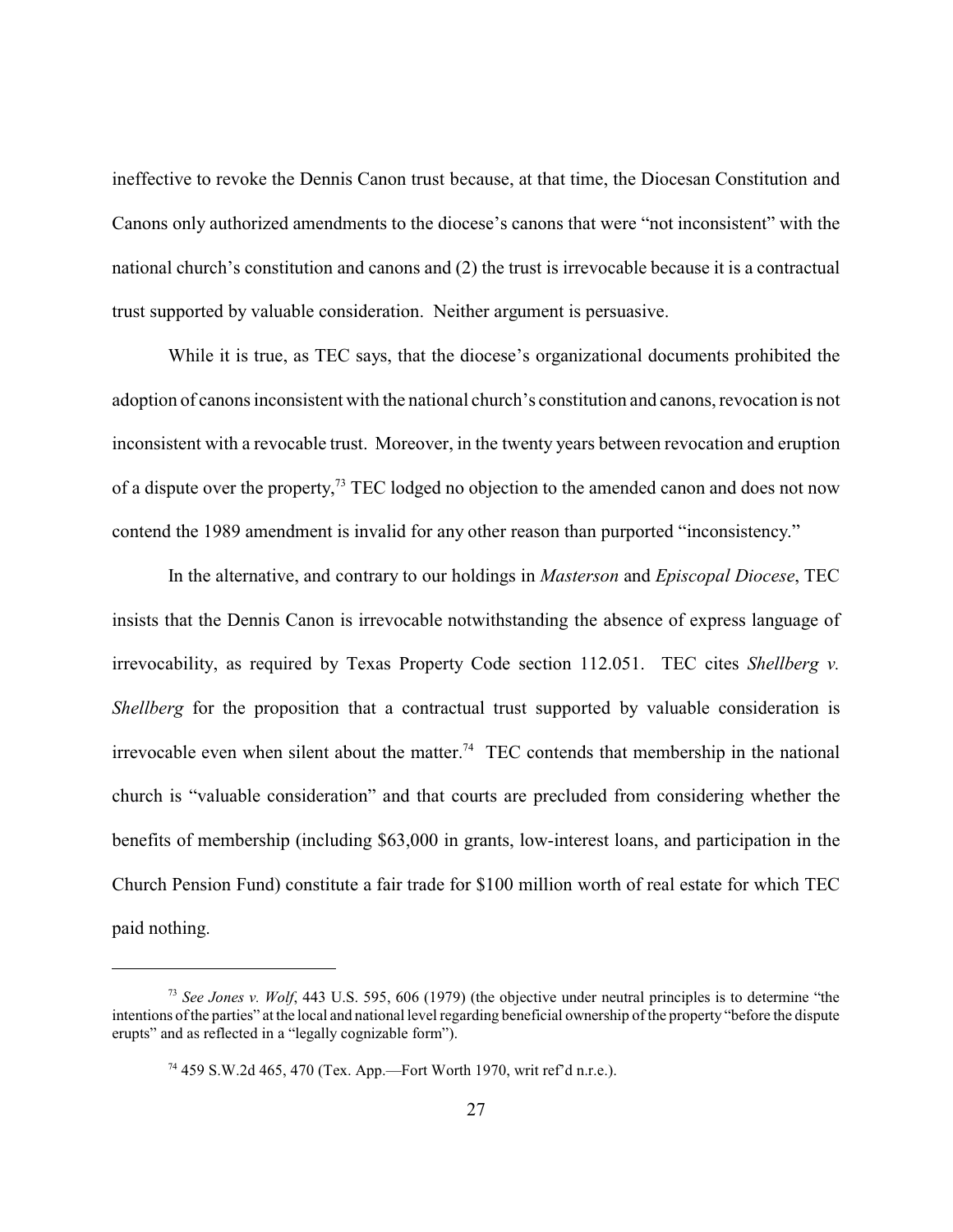ineffective to revoke the Dennis Canon trust because, at that time, the Diocesan Constitution and Canons only authorized amendments to the diocese's canons that were "not inconsistent" with the national church's constitution and canons and (2) the trust is irrevocable because it is a contractual trust supported by valuable consideration. Neither argument is persuasive.

While it is true, as TEC says, that the diocese's organizational documents prohibited the adoption of canons inconsistent with the national church's constitution and canons, revocation is not inconsistent with a revocable trust. Moreover, in the twenty years between revocation and eruption of a dispute over the property,<sup>73</sup> TEC lodged no objection to the amended canon and does not now contend the 1989 amendment is invalid for any other reason than purported "inconsistency."

In the alternative, and contrary to our holdings in *Masterson* and *Episcopal Diocese*, TEC insists that the Dennis Canon is irrevocable notwithstanding the absence of express language of irrevocability, as required by Texas Property Code section 112.051. TEC cites *Shellberg v. Shellberg* for the proposition that a contractual trust supported by valuable consideration is irrevocable even when silent about the matter.<sup>74</sup> TEC contends that membership in the national church is "valuable consideration" and that courts are precluded from considering whether the benefits of membership (including \$63,000 in grants, low-interest loans, and participation in the Church Pension Fund) constitute a fair trade for \$100 million worth of real estate for which TEC paid nothing.

<sup>73</sup> *See Jones v. Wolf*, 443 U.S. 595, 606 (1979) (the objective under neutral principles is to determine "the intentions ofthe parties" at the local and national level regarding beneficial ownership ofthe property "before the dispute erupts" and as reflected in a "legally cognizable form").

<sup>74</sup> 459 S.W.2d 465, 470 (Tex. App.—Fort Worth 1970, writ ref'd n.r.e.).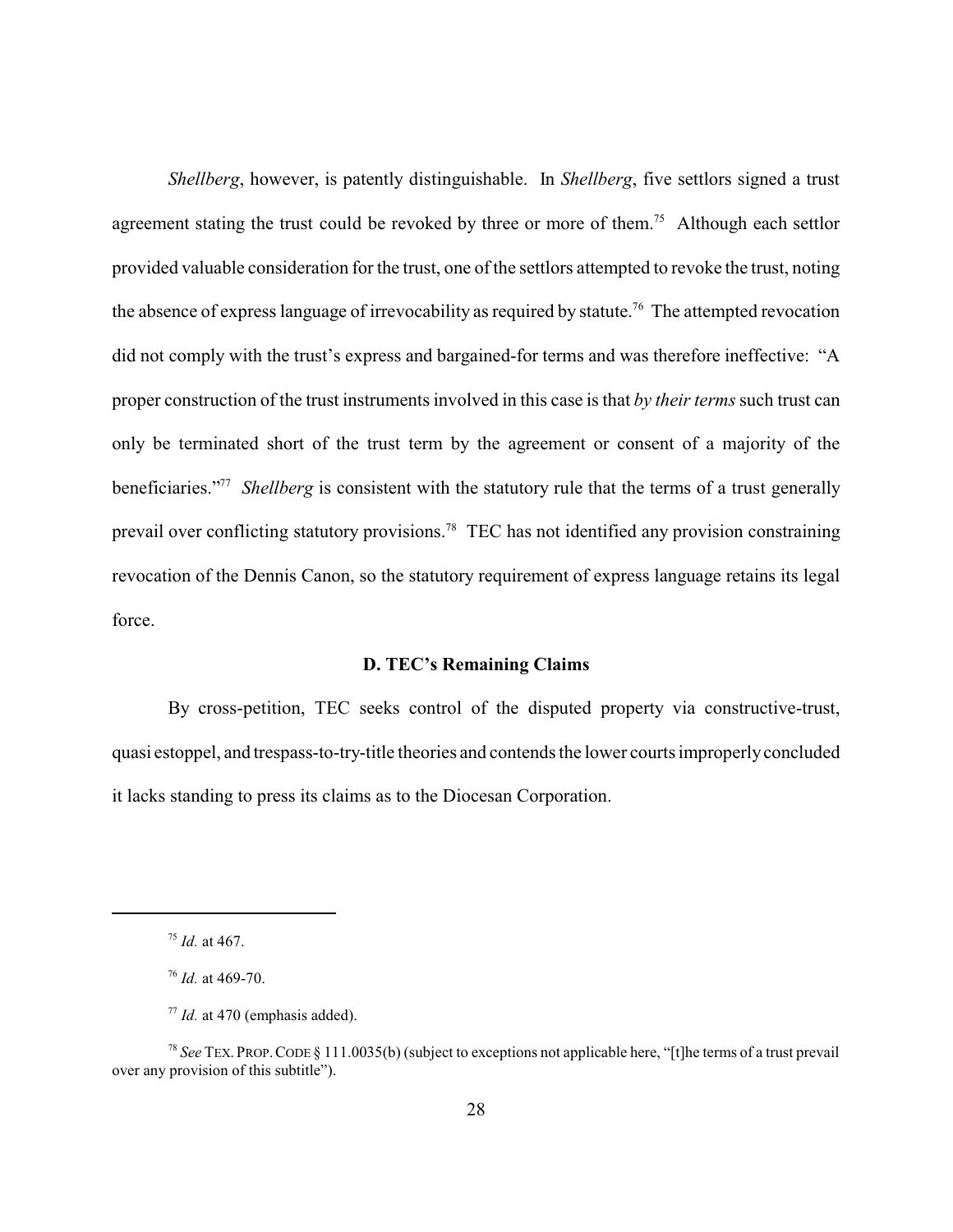*Shellberg*, however, is patently distinguishable. In *Shellberg*, five settlors signed a trust agreement stating the trust could be revoked by three or more of them.<sup>75</sup> Although each settlor provided valuable consideration for the trust, one of the settlors attempted to revoke the trust, noting the absence of express language of irrevocability as required by statute.<sup>76</sup> The attempted revocation did not comply with the trust's express and bargained-for terms and was therefore ineffective: "A proper construction of the trust instruments involved in this case is that *by their terms* such trust can only be terminated short of the trust term by the agreement or consent of a majority of the beneficiaries."<sup>77</sup> *Shellberg* is consistent with the statutory rule that the terms of a trust generally prevail over conflicting statutory provisions.<sup>78</sup> TEC has not identified any provision constraining revocation of the Dennis Canon, so the statutory requirement of express language retains its legal force.

### **D. TEC's Remaining Claims**

By cross-petition, TEC seeks control of the disputed property via constructive-trust, quasi estoppel, and trespass-to-try-title theories and contends the lower courts improperlyconcluded it lacks standing to press its claims as to the Diocesan Corporation.

<sup>75</sup> *Id.* at 467.

<sup>76</sup> *Id.* at 469-70.

<sup>77</sup> *Id.* at 470 (emphasis added).

<sup>78</sup> *See* TEX. PROP.CODE § 111.0035(b) (subject to exceptions not applicable here, "[t]he terms of a trust prevail over any provision of this subtitle").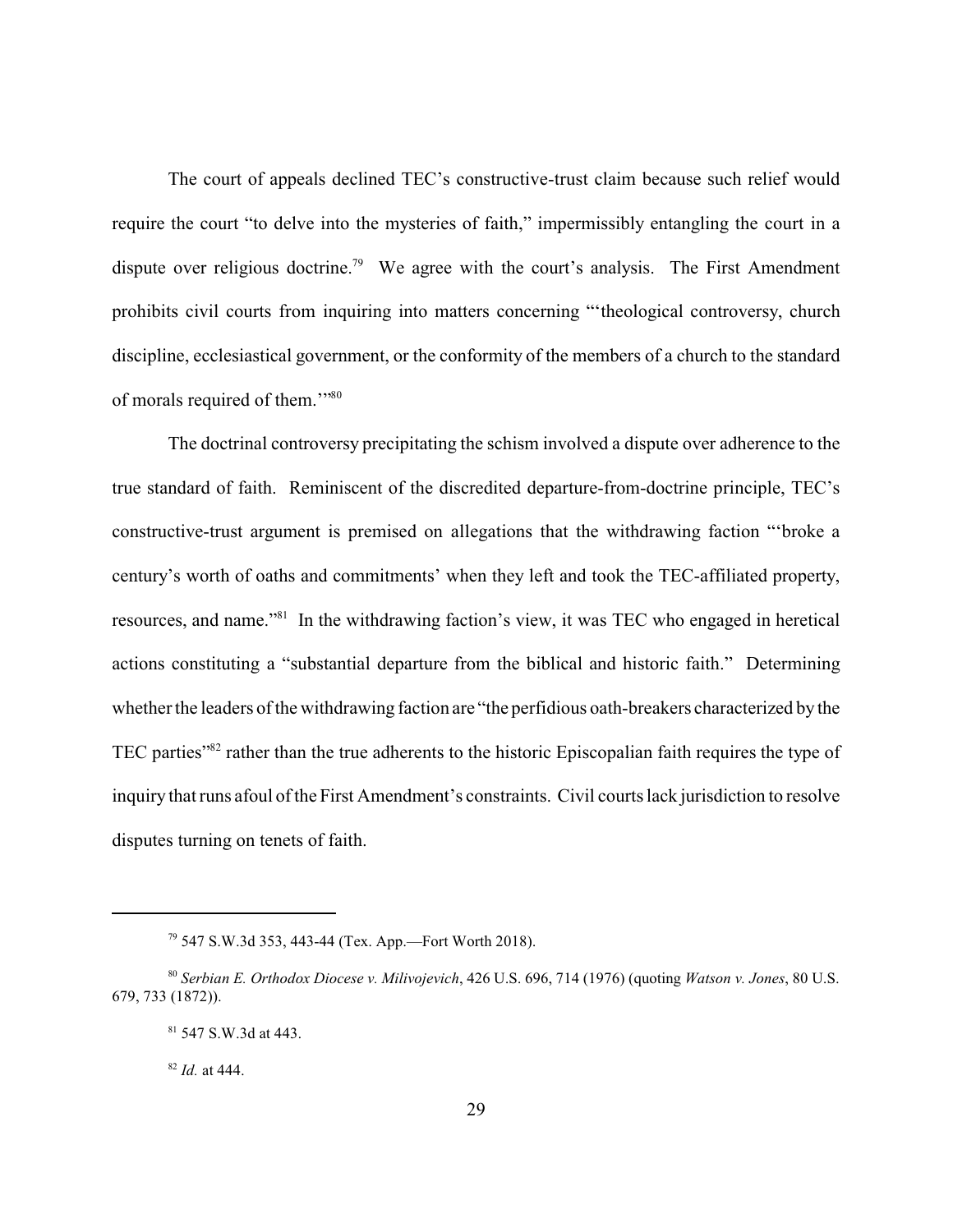The court of appeals declined TEC's constructive-trust claim because such relief would require the court "to delve into the mysteries of faith," impermissibly entangling the court in a dispute over religious doctrine.<sup>79</sup> We agree with the court's analysis. The First Amendment prohibits civil courts from inquiring into matters concerning "'theological controversy, church discipline, ecclesiastical government, or the conformity of the members of a church to the standard of morals required of them."<sup>30</sup>

The doctrinal controversy precipitating the schism involved a dispute over adherence to the true standard of faith. Reminiscent of the discredited departure-from-doctrine principle, TEC's constructive-trust argument is premised on allegations that the withdrawing faction "'broke a century's worth of oaths and commitments' when they left and took the TEC-affiliated property, resources, and name."<sup>81</sup> In the withdrawing faction's view, it was TEC who engaged in heretical actions constituting a "substantial departure from the biblical and historic faith." Determining whether the leaders of the withdrawing faction are "the perfidious oath-breakers characterized by the TEC parties"<sup>82</sup> rather than the true adherents to the historic Episcopalian faith requires the type of inquiry that runs afoul of the First Amendment's constraints. Civil courts lack jurisdiction to resolve disputes turning on tenets of faith.

<sup>79</sup> 547 S.W.3d 353, 443-44 (Tex. App.—Fort Worth 2018).

<sup>80</sup> *Serbian E. Orthodox Diocese v. Milivojevich*, 426 U.S. 696, 714 (1976) (quoting *Watson v. Jones*, 80 U.S. 679, 733 (1872)).

<sup>81</sup> 547 S.W.3d at 443.

<sup>82</sup> *Id.* at 444.